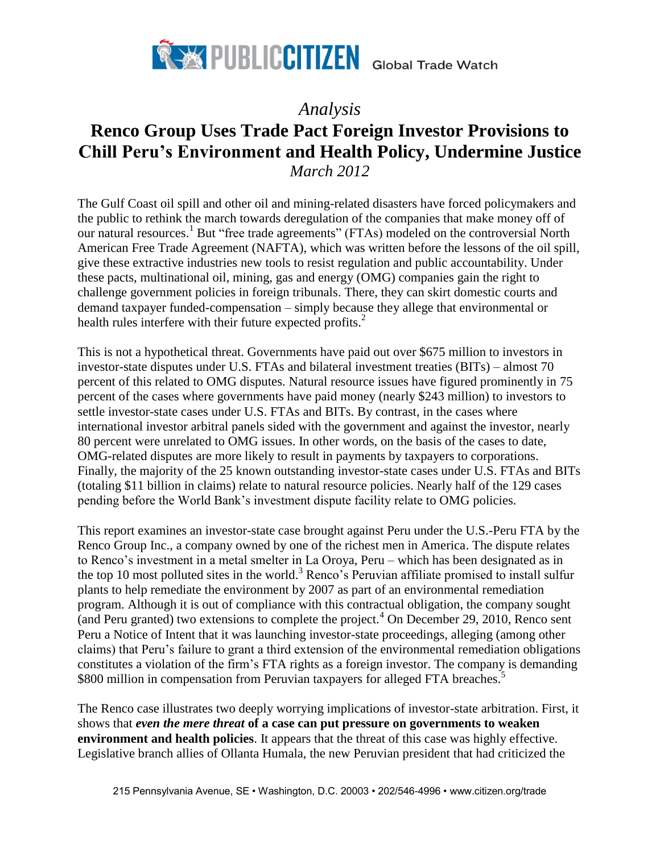

# *Analysis* **Renco Group Uses Trade Pact Foreign Investor Provisions to Chill Peru's Environment and Health Policy, Undermine Justice** *March 2012*

The Gulf Coast oil spill and other oil and mining-related disasters have forced policymakers and the public to rethink the march towards deregulation of the companies that make money off of our natural resources.<sup>1</sup> But "free trade agreements" (FTAs) modeled on the controversial North American Free Trade Agreement (NAFTA), which was written before the lessons of the oil spill, give these extractive industries new tools to resist regulation and public accountability. Under these pacts, multinational oil, mining, gas and energy (OMG) companies gain the right to challenge government policies in foreign tribunals. There, they can skirt domestic courts and demand taxpayer funded-compensation – simply because they allege that environmental or health rules interfere with their future expected profits. 2

This is not a hypothetical threat. Governments have paid out over \$675 million to investors in investor-state disputes under U.S. FTAs and bilateral investment treaties (BITs) – almost 70 percent of this related to OMG disputes. Natural resource issues have figured prominently in 75 percent of the cases where governments have paid money (nearly \$243 million) to investors to settle investor-state cases under U.S. FTAs and BITs. By contrast, in the cases where international investor arbitral panels sided with the government and against the investor, nearly 80 percent were unrelated to OMG issues. In other words, on the basis of the cases to date, OMG-related disputes are more likely to result in payments by taxpayers to corporations. Finally, the majority of the 25 known outstanding investor-state cases under U.S. FTAs and BITs (totaling \$11 billion in claims) relate to natural resource policies. Nearly half of the 129 cases pending before the World Bank's investment dispute facility relate to OMG policies.

This report examines an investor-state case brought against Peru under the U.S.-Peru FTA by the Renco Group Inc., a company owned by one of the richest men in America. The dispute relates to Renco's investment in a metal smelter in La Oroya, Peru – which has been designated as in the top 10 most polluted sites in the world.<sup>3</sup> Renco's Peruvian affiliate promised to install sulfur plants to help remediate the environment by 2007 as part of an environmental remediation program. Although it is out of compliance with this contractual obligation, the company sought (and Peru granted) two extensions to complete the project.<sup>4</sup> On December 29, 2010, Renco sent Peru a Notice of Intent that it was launching investor-state proceedings, alleging (among other claims) that Peru's failure to grant a third extension of the environmental remediation obligations constitutes a violation of the firm's FTA rights as a foreign investor. The company is demanding \$800 million in compensation from Peruvian taxpayers for alleged FTA breaches.<sup>5</sup>

The Renco case illustrates two deeply worrying implications of investor-state arbitration. First, it shows that *even the mere threat* **of a case can put pressure on governments to weaken environment and health policies**. It appears that the threat of this case was highly effective. Legislative branch allies of Ollanta Humala, the new Peruvian president that had criticized the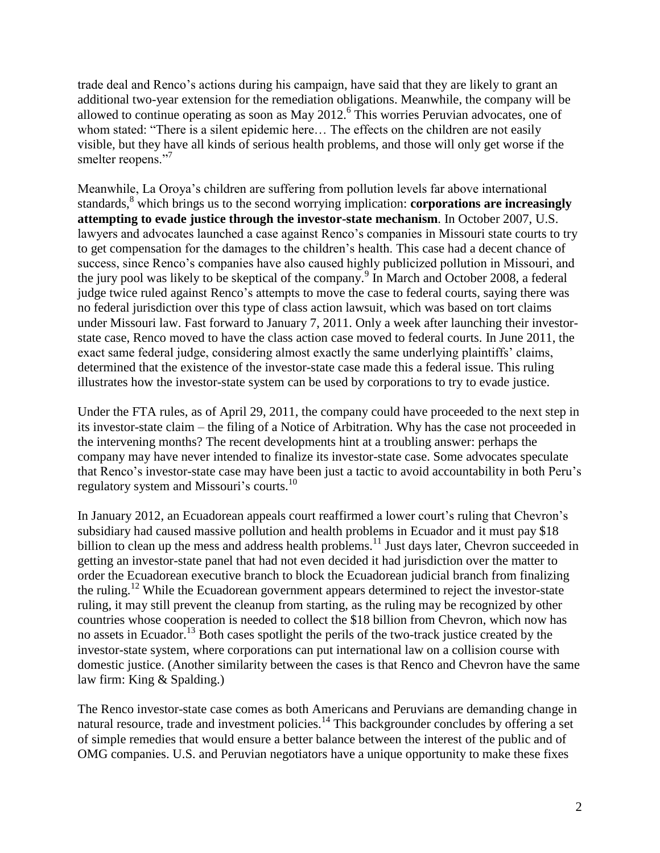trade deal and Renco's actions during his campaign, have said that they are likely to grant an additional two-year extension for the remediation obligations. Meanwhile, the company will be allowed to continue operating as soon as May 2012.<sup>6</sup> This worries Peruvian advocates, one of whom stated: "There is a silent epidemic here… The effects on the children are not easily visible, but they have all kinds of serious health problems, and those will only get worse if the smelter reopens."

Meanwhile, La Oroya's children are suffering from pollution levels far above international standards, <sup>8</sup> which brings us to the second worrying implication: **corporations are increasingly attempting to evade justice through the investor-state mechanism**. In October 2007, U.S. lawyers and advocates launched a case against Renco's companies in Missouri state courts to try to get compensation for the damages to the children's health. This case had a decent chance of success, since Renco's companies have also caused highly publicized pollution in Missouri, and the jury pool was likely to be skeptical of the company.<sup>9</sup> In March and October 2008, a federal judge twice ruled against Renco's attempts to move the case to federal courts, saying there was no federal jurisdiction over this type of class action lawsuit, which was based on tort claims under Missouri law. Fast forward to January 7, 2011. Only a week after launching their investorstate case, Renco moved to have the class action case moved to federal courts. In June 2011, the exact same federal judge, considering almost exactly the same underlying plaintiffs' claims, determined that the existence of the investor-state case made this a federal issue. This ruling illustrates how the investor-state system can be used by corporations to try to evade justice.

Under the FTA rules, as of April 29, 2011, the company could have proceeded to the next step in its investor-state claim – the filing of a Notice of Arbitration. Why has the case not proceeded in the intervening months? The recent developments hint at a troubling answer: perhaps the company may have never intended to finalize its investor-state case. Some advocates speculate that Renco's investor-state case may have been just a tactic to avoid accountability in both Peru's regulatory system and Missouri's courts.<sup>10</sup>

In January 2012, an Ecuadorean appeals court reaffirmed a lower court's ruling that Chevron's subsidiary had caused massive pollution and health problems in Ecuador and it must pay \$18 billion to clean up the mess and address health problems.<sup>11</sup> Just days later, Chevron succeeded in getting an investor-state panel that had not even decided it had jurisdiction over the matter to order the Ecuadorean executive branch to block the Ecuadorean judicial branch from finalizing the ruling.<sup>12</sup> While the Ecuadorean government appears determined to reject the investor-state ruling, it may still prevent the cleanup from starting, as the ruling may be recognized by other countries whose cooperation is needed to collect the \$18 billion from Chevron, which now has no assets in Ecuador.<sup>13</sup> Both cases spotlight the perils of the two-track justice created by the investor-state system, where corporations can put international law on a collision course with domestic justice. (Another similarity between the cases is that Renco and Chevron have the same law firm: King & Spalding.)

The Renco investor-state case comes as both Americans and Peruvians are demanding change in natural resource, trade and investment policies.<sup>14</sup> This backgrounder concludes by offering a set of simple remedies that would ensure a better balance between the interest of the public and of OMG companies. U.S. and Peruvian negotiators have a unique opportunity to make these fixes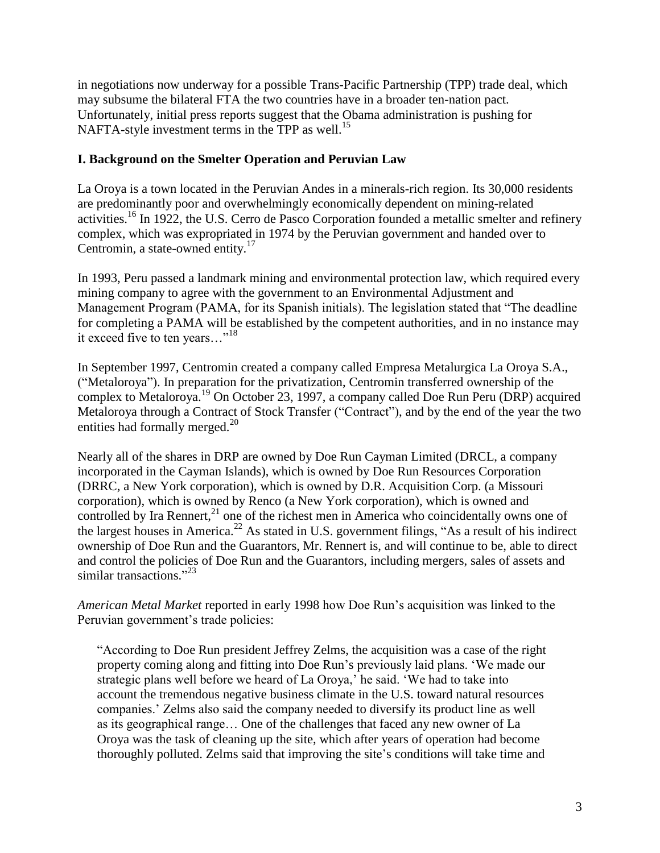in negotiations now underway for a possible Trans-Pacific Partnership (TPP) trade deal, which may subsume the bilateral FTA the two countries have in a broader ten-nation pact. Unfortunately, initial press reports suggest that the Obama administration is pushing for NAFTA-style investment terms in the TPP as well.<sup>15</sup>

## **I. Background on the Smelter Operation and Peruvian Law**

La Oroya is a town located in the Peruvian Andes in a minerals-rich region. Its 30,000 residents are predominantly poor and overwhelmingly economically dependent on mining-related activities.<sup>16</sup> In 1922, the U.S. Cerro de Pasco Corporation founded a metallic smelter and refinery complex, which was expropriated in 1974 by the Peruvian government and handed over to Centromin, a state-owned entity.<sup>17</sup>

In 1993, Peru passed a landmark mining and environmental protection law, which required every mining company to agree with the government to an Environmental Adjustment and Management Program (PAMA, for its Spanish initials). The legislation stated that "The deadline for completing a PAMA will be established by the competent authorities, and in no instance may it exceed five to ten years…"<sup>18</sup>

In September 1997, Centromin created a company called Empresa Metalurgica La Oroya S.A., ("Metaloroya"). In preparation for the privatization, Centromin transferred ownership of the complex to Metaloroya.<sup>19</sup> On October 23, 1997, a company called Doe Run Peru (DRP) acquired Metaloroya through a Contract of Stock Transfer ("Contract"), and by the end of the year the two entities had formally merged.<sup>20</sup>

Nearly all of the shares in DRP are owned by Doe Run Cayman Limited (DRCL, a company incorporated in the Cayman Islands), which is owned by Doe Run Resources Corporation (DRRC, a New York corporation), which is owned by D.R. Acquisition Corp. (a Missouri corporation), which is owned by Renco (a New York corporation), which is owned and controlled by Ira Rennert, $^{21}$  one of the richest men in America who coincidentally owns one of the largest houses in America.<sup>22</sup> As stated in U.S. government filings, "As a result of his indirect ownership of Doe Run and the Guarantors, Mr. Rennert is, and will continue to be, able to direct and control the policies of Doe Run and the Guarantors, including mergers, sales of assets and similar transactions."23

*American Metal Market* reported in early 1998 how Doe Run's acquisition was linked to the Peruvian government's trade policies:

"According to Doe Run president Jeffrey Zelms, the acquisition was a case of the right property coming along and fitting into Doe Run's previously laid plans. 'We made our strategic plans well before we heard of La Oroya,' he said. 'We had to take into account the tremendous negative business climate in the U.S. toward natural resources companies.' Zelms also said the company needed to diversify its product line as well as its geographical range… One of the challenges that faced any new owner of La Oroya was the task of cleaning up the site, which after years of operation had become thoroughly polluted. Zelms said that improving the site's conditions will take time and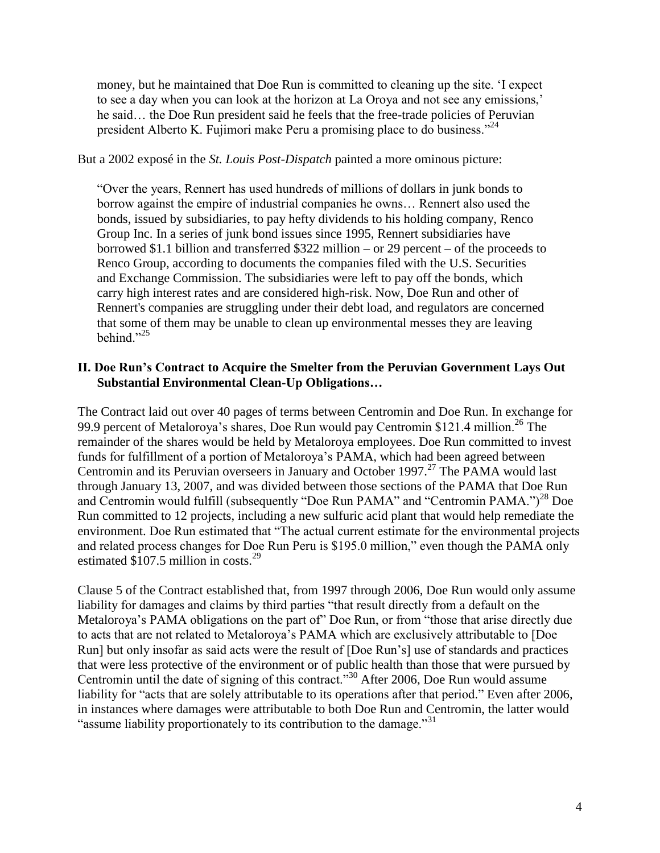money, but he maintained that Doe Run is committed to cleaning up the site. 'I expect to see a day when you can look at the horizon at La Oroya and not see any emissions,' he said… the Doe Run president said he feels that the free-trade policies of Peruvian president Alberto K. Fujimori make Peru a promising place to do business.<sup>224</sup>

#### But a 2002 exposé in the *St. Louis Post-Dispatch* painted a more ominous picture:

"Over the years, Rennert has used hundreds of millions of dollars in junk bonds to borrow against the empire of industrial companies he owns… Rennert also used the bonds, issued by subsidiaries, to pay hefty dividends to his holding company, Renco Group Inc. In a series of junk bond issues since 1995, Rennert subsidiaries have borrowed \$1.1 billion and transferred \$322 million – or 29 percent – of the proceeds to Renco Group, according to documents the companies filed with the U.S. Securities and Exchange Commission. The subsidiaries were left to pay off the bonds, which carry high interest rates and are considered high-risk. Now, Doe Run and other of Rennert's companies are struggling under their debt load, and regulators are concerned that some of them may be unable to clean up environmental messes they are leaving behind." $^{25}$ 

### **II. Doe Run's Contract to Acquire the Smelter from the Peruvian Government Lays Out Substantial Environmental Clean-Up Obligations…**

The Contract laid out over 40 pages of terms between Centromin and Doe Run. In exchange for 99.9 percent of Metaloroya's shares, Doe Run would pay Centromin \$121.4 million.<sup>26</sup> The remainder of the shares would be held by Metaloroya employees. Doe Run committed to invest funds for fulfillment of a portion of Metaloroya's PAMA, which had been agreed between Centromin and its Peruvian overseers in January and October 1997.<sup>27</sup> The PAMA would last through January 13, 2007, and was divided between those sections of the PAMA that Doe Run and Centromin would fulfill (subsequently "Doe Run PAMA" and "Centromin PAMA.")<sup>28</sup> Doe Run committed to 12 projects, including a new sulfuric acid plant that would help remediate the environment. Doe Run estimated that "The actual current estimate for the environmental projects and related process changes for Doe Run Peru is \$195.0 million," even though the PAMA only estimated  $$107.5$  million in costs.<sup>29</sup>

Clause 5 of the Contract established that, from 1997 through 2006, Doe Run would only assume liability for damages and claims by third parties "that result directly from a default on the Metaloroya's PAMA obligations on the part of" Doe Run, or from "those that arise directly due to acts that are not related to Metaloroya's PAMA which are exclusively attributable to [Doe Run] but only insofar as said acts were the result of [Doe Run's] use of standards and practices that were less protective of the environment or of public health than those that were pursued by Centromin until the date of signing of this contract."<sup>30</sup> After 2006, Doe Run would assume liability for "acts that are solely attributable to its operations after that period." Even after 2006, in instances where damages were attributable to both Doe Run and Centromin, the latter would "assume liability proportionately to its contribution to the damage."<sup>31</sup>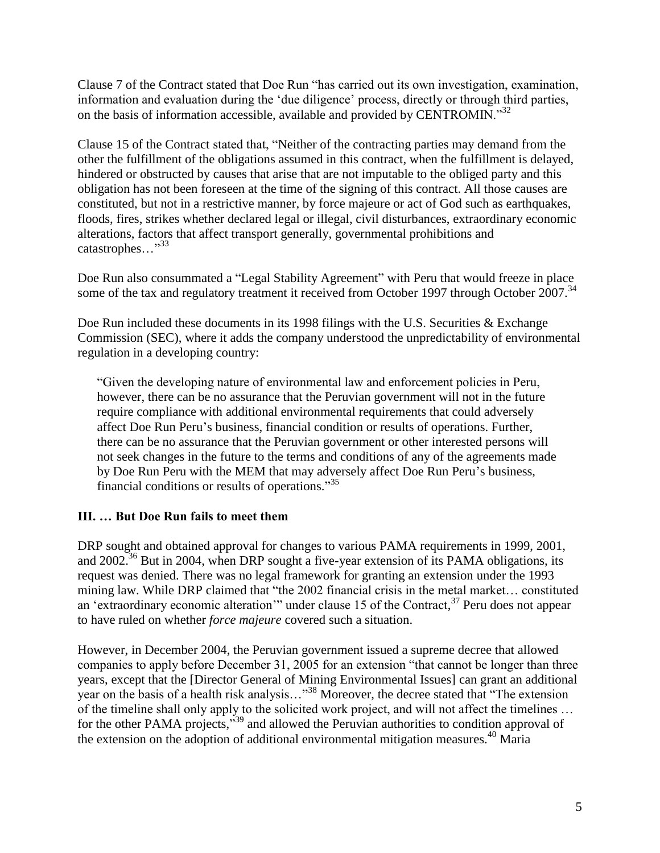Clause 7 of the Contract stated that Doe Run "has carried out its own investigation, examination, information and evaluation during the 'due diligence' process, directly or through third parties, on the basis of information accessible, available and provided by CENTROMIN."<sup>32</sup>

Clause 15 of the Contract stated that, "Neither of the contracting parties may demand from the other the fulfillment of the obligations assumed in this contract, when the fulfillment is delayed, hindered or obstructed by causes that arise that are not imputable to the obliged party and this obligation has not been foreseen at the time of the signing of this contract. All those causes are constituted, but not in a restrictive manner, by force majeure or act of God such as earthquakes, floods, fires, strikes whether declared legal or illegal, civil disturbances, extraordinary economic alterations, factors that affect transport generally, governmental prohibitions and catastrophes..."<sup>33</sup>

Doe Run also consummated a "Legal Stability Agreement" with Peru that would freeze in place some of the tax and regulatory treatment it received from October 1997 through October 2007.<sup>34</sup>

Doe Run included these documents in its 1998 filings with the U.S. Securities & Exchange Commission (SEC), where it adds the company understood the unpredictability of environmental regulation in a developing country:

"Given the developing nature of environmental law and enforcement policies in Peru, however, there can be no assurance that the Peruvian government will not in the future require compliance with additional environmental requirements that could adversely affect Doe Run Peru's business, financial condition or results of operations. Further, there can be no assurance that the Peruvian government or other interested persons will not seek changes in the future to the terms and conditions of any of the agreements made by Doe Run Peru with the MEM that may adversely affect Doe Run Peru's business, financial conditions or results of operations."<sup>35</sup>

# **III. … But Doe Run fails to meet them**

DRP sought and obtained approval for changes to various PAMA requirements in 1999, 2001, and 2002.<sup>36</sup> But in 2004, when DRP sought a five-year extension of its PAMA obligations, its request was denied. There was no legal framework for granting an extension under the 1993 mining law. While DRP claimed that "the 2002 financial crisis in the metal market… constituted an 'extraordinary economic alteration'" under clause 15 of the Contract,<sup>37</sup> Peru does not appear to have ruled on whether *force majeure* covered such a situation.

However, in December 2004, the Peruvian government issued a supreme decree that allowed companies to apply before December 31, 2005 for an extension "that cannot be longer than three years, except that the [Director General of Mining Environmental Issues] can grant an additional year on the basis of a health risk analysis…"<sup>38</sup> Moreover, the decree stated that "The extension of the timeline shall only apply to the solicited work project, and will not affect the timelines … for the other PAMA projects,"<sup>39</sup> and allowed the Peruvian authorities to condition approval of the extension on the adoption of additional environmental mitigation measures.<sup>40</sup> Maria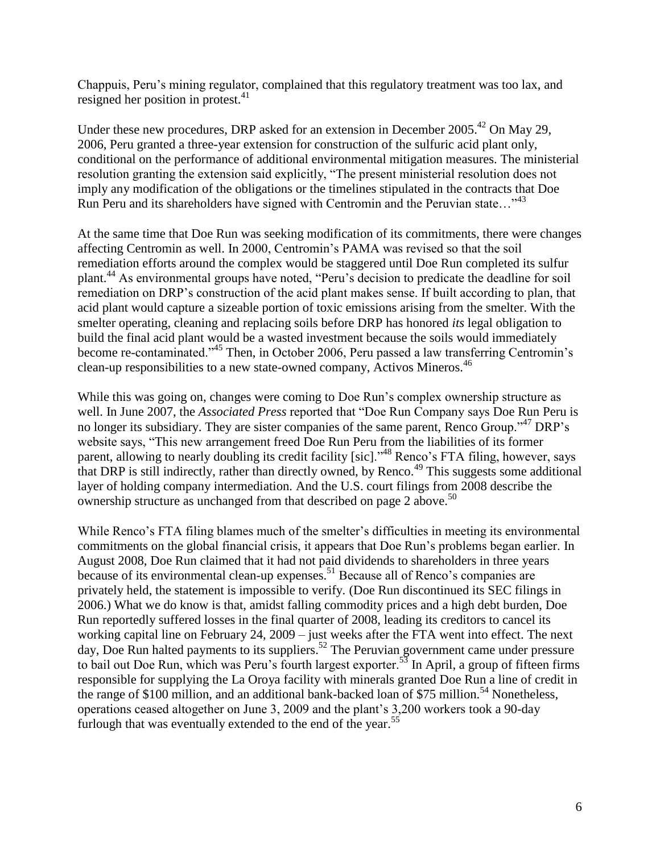Chappuis, Peru's mining regulator, complained that this regulatory treatment was too lax, and resigned her position in protest. $41$ 

Under these new procedures, DRP asked for an extension in December 2005.<sup>42</sup> On May 29, 2006, Peru granted a three-year extension for construction of the sulfuric acid plant only, conditional on the performance of additional environmental mitigation measures. The ministerial resolution granting the extension said explicitly, "The present ministerial resolution does not imply any modification of the obligations or the timelines stipulated in the contracts that Doe Run Peru and its shareholders have signed with Centromin and the Peruvian state..."<sup>43</sup>

At the same time that Doe Run was seeking modification of its commitments, there were changes affecting Centromin as well. In 2000, Centromin's PAMA was revised so that the soil remediation efforts around the complex would be staggered until Doe Run completed its sulfur plant.<sup>44</sup> As environmental groups have noted, "Peru's decision to predicate the deadline for soil remediation on DRP's construction of the acid plant makes sense. If built according to plan, that acid plant would capture a sizeable portion of toxic emissions arising from the smelter. With the smelter operating, cleaning and replacing soils before DRP has honored *its* legal obligation to build the final acid plant would be a wasted investment because the soils would immediately become re-contaminated."<sup>45</sup> Then, in October 2006, Peru passed a law transferring Centromin's clean-up responsibilities to a new state-owned company, Activos Mineros.<sup>46</sup>

While this was going on, changes were coming to Doe Run's complex ownership structure as well. In June 2007, the *Associated Press* reported that "Doe Run Company says Doe Run Peru is no longer its subsidiary. They are sister companies of the same parent, Renco Group."<sup>47</sup> DRP's website says, "This new arrangement freed Doe Run Peru from the liabilities of its former parent, allowing to nearly doubling its credit facility [sic]."<sup>48</sup> Renco's FTA filing, however, says that DRP is still indirectly, rather than directly owned, by Renco.<sup>49</sup> This suggests some additional layer of holding company intermediation. And the U.S. court filings from 2008 describe the ownership structure as unchanged from that described on page 2 above.<sup>50</sup>

While Renco's FTA filing blames much of the smelter's difficulties in meeting its environmental commitments on the global financial crisis, it appears that Doe Run's problems began earlier. In August 2008, Doe Run claimed that it had not paid dividends to shareholders in three years because of its environmental clean-up expenses.<sup>51</sup> Because all of Renco's companies are privately held, the statement is impossible to verify. (Doe Run discontinued its SEC filings in 2006.) What we do know is that, amidst falling commodity prices and a high debt burden, Doe Run reportedly suffered losses in the final quarter of 2008, leading its creditors to cancel its working capital line on February 24, 2009 – just weeks after the FTA went into effect. The next day, Doe Run halted payments to its suppliers.<sup>52</sup> The Peruvian government came under pressure to bail out Doe Run, which was Peru's fourth largest exporter.<sup>53</sup> In April, a group of fifteen firms responsible for supplying the La Oroya facility with minerals granted Doe Run a line of credit in the range of \$100 million, and an additional bank-backed loan of \$75 million.<sup>54</sup> Nonetheless, operations ceased altogether on June 3, 2009 and the plant's 3,200 workers took a 90-day furlough that was eventually extended to the end of the year.<sup>55</sup>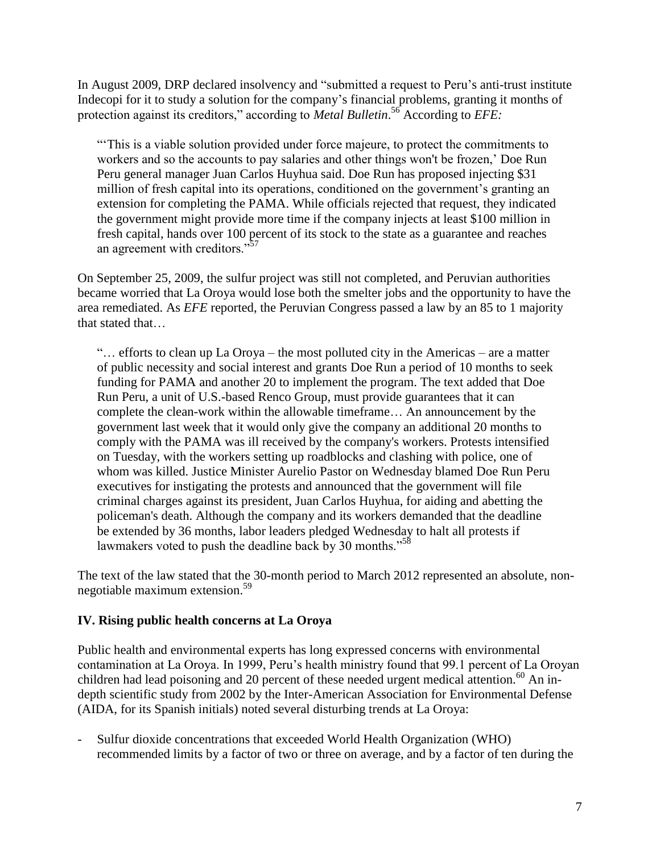In August 2009, DRP declared insolvency and "submitted a request to Peru's anti-trust institute Indecopi for it to study a solution for the company's financial problems, granting it months of protection against its creditors," according to *Metal Bulletin*. <sup>56</sup> According to *EFE:*

"'This is a viable solution provided under force majeure, to protect the commitments to workers and so the accounts to pay salaries and other things won't be frozen,' Doe Run Peru general manager Juan Carlos Huyhua said. Doe Run has proposed injecting \$31 million of fresh capital into its operations, conditioned on the government's granting an extension for completing the PAMA. While officials rejected that request, they indicated the government might provide more time if the company injects at least \$100 million in fresh capital, hands over 100 percent of its stock to the state as a guarantee and reaches an agreement with creditors."<sup>57</sup>

On September 25, 2009, the sulfur project was still not completed, and Peruvian authorities became worried that La Oroya would lose both the smelter jobs and the opportunity to have the area remediated. As *EFE* reported, the Peruvian Congress passed a law by an 85 to 1 majority that stated that…

"… efforts to clean up La Oroya – the most polluted city in the Americas – are a matter of public necessity and social interest and grants Doe Run a period of 10 months to seek funding for PAMA and another 20 to implement the program. The text added that Doe Run Peru, a unit of U.S.-based Renco Group, must provide guarantees that it can complete the clean-work within the allowable timeframe… An announcement by the government last week that it would only give the company an additional 20 months to comply with the PAMA was ill received by the company's workers. Protests intensified on Tuesday, with the workers setting up roadblocks and clashing with police, one of whom was killed. Justice Minister Aurelio Pastor on Wednesday blamed Doe Run Peru executives for instigating the protests and announced that the government will file criminal charges against its president, Juan Carlos Huyhua, for aiding and abetting the policeman's death. Although the company and its workers demanded that the deadline be extended by 36 months, labor leaders pledged Wednesday to halt all protests if lawmakers voted to push the deadline back by 30 months."<sup>58</sup>

The text of the law stated that the 30-month period to March 2012 represented an absolute, nonnegotiable maximum extension.<sup>59</sup>

## **IV. Rising public health concerns at La Oroya**

Public health and environmental experts has long expressed concerns with environmental contamination at La Oroya. In 1999, Peru's health ministry found that 99.1 percent of La Oroyan children had lead poisoning and 20 percent of these needed urgent medical attention.<sup>60</sup> An indepth scientific study from 2002 by the Inter-American Association for Environmental Defense (AIDA, for its Spanish initials) noted several disturbing trends at La Oroya:

- Sulfur dioxide concentrations that exceeded World Health Organization (WHO) recommended limits by a factor of two or three on average, and by a factor of ten during the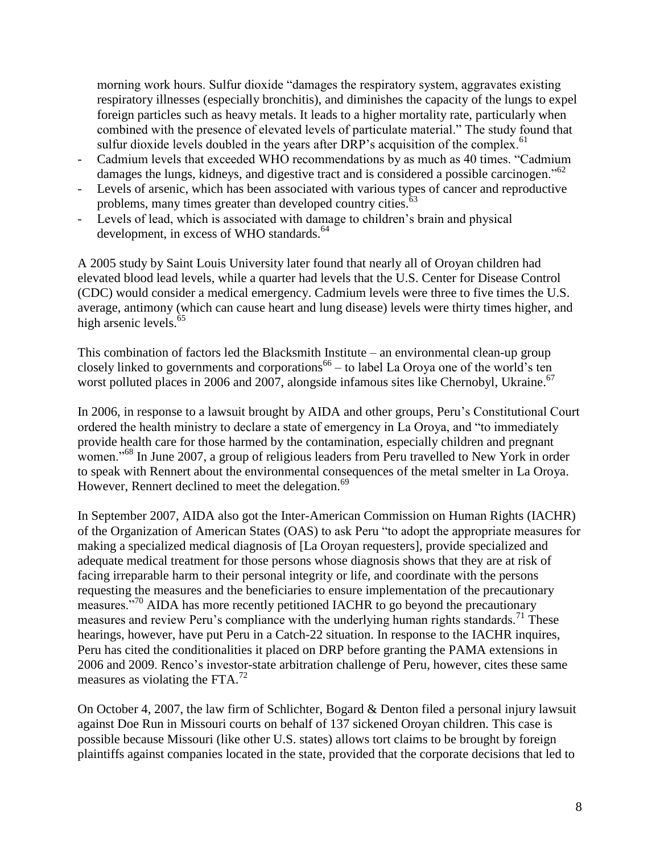morning work hours. Sulfur dioxide "damages the respiratory system, aggravates existing respiratory illnesses (especially bronchitis), and diminishes the capacity of the lungs to expel foreign particles such as heavy metals. It leads to a higher mortality rate, particularly when combined with the presence of elevated levels of particulate material." The study found that sulfur dioxide levels doubled in the years after DRP's acquisition of the complex.<sup>61</sup>

- Cadmium levels that exceeded WHO recommendations by as much as 40 times. "Cadmium damages the lungs, kidneys, and digestive tract and is considered a possible carcinogen."<sup>62</sup>
- Levels of arsenic, which has been associated with various types of cancer and reproductive problems, many times greater than developed country cities. $65$
- Levels of lead, which is associated with damage to children's brain and physical development, in excess of WHO standards. $^{64}$

A 2005 study by Saint Louis University later found that nearly all of Oroyan children had elevated blood lead levels, while a quarter had levels that the U.S. Center for Disease Control (CDC) would consider a medical emergency. Cadmium levels were three to five times the U.S. average, antimony (which can cause heart and lung disease) levels were thirty times higher, and high arsenic levels. $65$ 

This combination of factors led the Blacksmith Institute – an environmental clean-up group closely linked to governments and corporations<sup>66</sup> – to label La Oroya one of the world's ten worst polluted places in 2006 and 2007, alongside infamous sites like Chernobyl, Ukraine.<sup>67</sup>

In 2006, in response to a lawsuit brought by AIDA and other groups, Peru's Constitutional Court ordered the health ministry to declare a state of emergency in La Oroya, and "to immediately provide health care for those harmed by the contamination, especially children and pregnant women."<sup>68</sup> In June 2007, a group of religious leaders from Peru travelled to New York in order to speak with Rennert about the environmental consequences of the metal smelter in La Oroya. However, Rennert declined to meet the delegation.<sup>69</sup>

In September 2007, AIDA also got the Inter-American Commission on Human Rights (IACHR) of the Organization of American States (OAS) to ask Peru "to adopt the appropriate measures for making a specialized medical diagnosis of [La Oroyan requesters], provide specialized and adequate medical treatment for those persons whose diagnosis shows that they are at risk of facing irreparable harm to their personal integrity or life, and coordinate with the persons requesting the measures and the beneficiaries to ensure implementation of the precautionary measures."<sup>70</sup> AIDA has more recently petitioned IACHR to go beyond the precautionary measures and review Peru's compliance with the underlying human rights standards.<sup>71</sup> These hearings, however, have put Peru in a Catch-22 situation. In response to the IACHR inquires, Peru has cited the conditionalities it placed on DRP before granting the PAMA extensions in 2006 and 2009. Renco's investor-state arbitration challenge of Peru, however, cites these same measures as violating the FTA. $^{72}$ 

On October 4, 2007, the law firm of Schlichter, Bogard & Denton filed a personal injury lawsuit against Doe Run in Missouri courts on behalf of 137 sickened Oroyan children. This case is possible because Missouri (like other U.S. states) allows tort claims to be brought by foreign plaintiffs against companies located in the state, provided that the corporate decisions that led to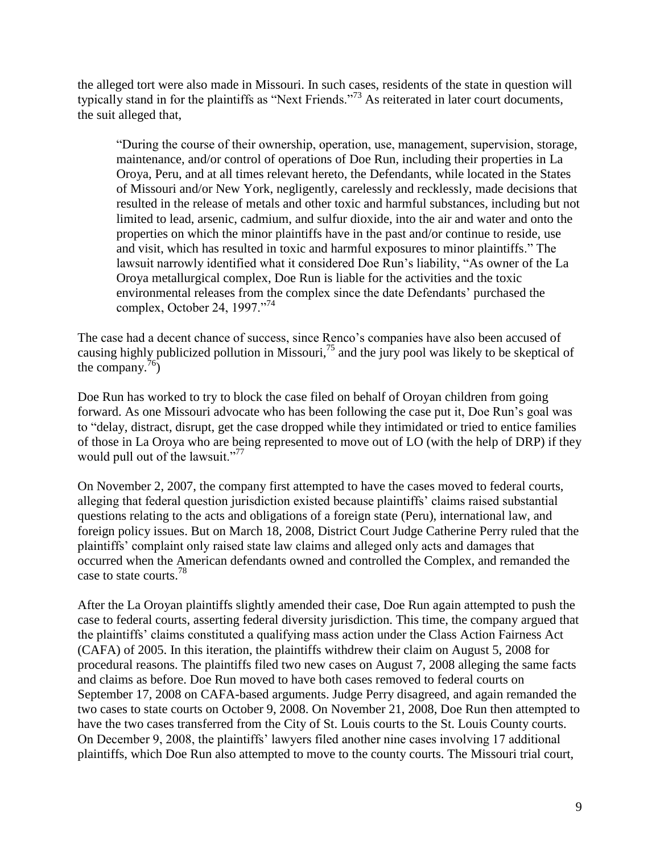the alleged tort were also made in Missouri. In such cases, residents of the state in question will typically stand in for the plaintiffs as "Next Friends."<sup>73</sup> As reiterated in later court documents, the suit alleged that,

"During the course of their ownership, operation, use, management, supervision, storage, maintenance, and/or control of operations of Doe Run, including their properties in La Oroya, Peru, and at all times relevant hereto, the Defendants, while located in the States of Missouri and/or New York, negligently, carelessly and recklessly, made decisions that resulted in the release of metals and other toxic and harmful substances, including but not limited to lead, arsenic, cadmium, and sulfur dioxide, into the air and water and onto the properties on which the minor plaintiffs have in the past and/or continue to reside, use and visit, which has resulted in toxic and harmful exposures to minor plaintiffs." The lawsuit narrowly identified what it considered Doe Run's liability, "As owner of the La Oroya metallurgical complex, Doe Run is liable for the activities and the toxic environmental releases from the complex since the date Defendants' purchased the complex, October 24, 1997."<sup>74</sup>

The case had a decent chance of success, since Renco's companies have also been accused of causing highly publicized pollution in Missouri,<sup>75</sup> and the jury pool was likely to be skeptical of the company.<sup>76</sup>)

Doe Run has worked to try to block the case filed on behalf of Oroyan children from going forward. As one Missouri advocate who has been following the case put it, Doe Run's goal was to "delay, distract, disrupt, get the case dropped while they intimidated or tried to entice families of those in La Oroya who are being represented to move out of LO (with the help of DRP) if they would pull out of the lawsuit."<sup>77</sup>

On November 2, 2007, the company first attempted to have the cases moved to federal courts, alleging that federal question jurisdiction existed because plaintiffs' claims raised substantial questions relating to the acts and obligations of a foreign state (Peru), international law, and foreign policy issues. But on March 18, 2008, District Court Judge Catherine Perry ruled that the plaintiffs' complaint only raised state law claims and alleged only acts and damages that occurred when the American defendants owned and controlled the Complex, and remanded the case to state courts.<sup>78</sup>

After the La Oroyan plaintiffs slightly amended their case, Doe Run again attempted to push the case to federal courts, asserting federal diversity jurisdiction. This time, the company argued that the plaintiffs' claims constituted a qualifying mass action under the Class Action Fairness Act (CAFA) of 2005. In this iteration, the plaintiffs withdrew their claim on August 5, 2008 for procedural reasons. The plaintiffs filed two new cases on August 7, 2008 alleging the same facts and claims as before. Doe Run moved to have both cases removed to federal courts on September 17, 2008 on CAFA-based arguments. Judge Perry disagreed, and again remanded the two cases to state courts on October 9, 2008. On November 21, 2008, Doe Run then attempted to have the two cases transferred from the City of St. Louis courts to the St. Louis County courts. On December 9, 2008, the plaintiffs' lawyers filed another nine cases involving 17 additional plaintiffs, which Doe Run also attempted to move to the county courts. The Missouri trial court,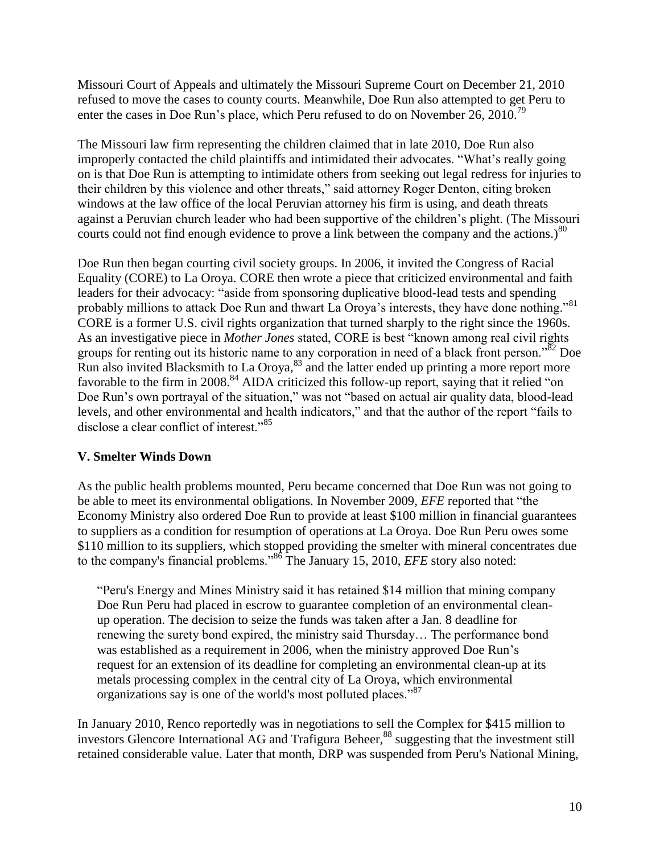Missouri Court of Appeals and ultimately the Missouri Supreme Court on December 21, 2010 refused to move the cases to county courts. Meanwhile, Doe Run also attempted to get Peru to enter the cases in Doe Run's place, which Peru refused to do on November 26, 2010.<sup>79</sup>

The Missouri law firm representing the children claimed that in late 2010, Doe Run also improperly contacted the child plaintiffs and intimidated their advocates. "What's really going on is that Doe Run is attempting to intimidate others from seeking out legal redress for injuries to their children by this violence and other threats," said attorney Roger Denton, citing broken windows at the law office of the local Peruvian attorney his firm is using, and death threats against a Peruvian church leader who had been supportive of the children's plight. (The Missouri courts could not find enough evidence to prove a link between the company and the actions.)<sup>80</sup>

Doe Run then began courting civil society groups. In 2006, it invited the Congress of Racial Equality (CORE) to La Oroya. CORE then wrote a piece that criticized environmental and faith leaders for their advocacy: "aside from sponsoring duplicative blood-lead tests and spending probably millions to attack Doe Run and thwart La Oroya's interests, they have done nothing."<sup>81</sup> CORE is a former U.S. civil rights organization that turned sharply to the right since the 1960s. As an investigative piece in *Mother Jones* stated, CORE is best "known among real civil rights groups for renting out its historic name to any corporation in need of a black front person."<sup>82</sup> Doe Run also invited Blacksmith to La Oroya,  $83$  and the latter ended up printing a more report more favorable to the firm in 2008.<sup>84</sup> AIDA criticized this follow-up report, saying that it relied "on Doe Run's own portrayal of the situation," was not "based on actual air quality data, blood-lead levels, and other environmental and health indicators," and that the author of the report "fails to disclose a clear conflict of interest."<sup>85</sup>

## **V. Smelter Winds Down**

As the public health problems mounted, Peru became concerned that Doe Run was not going to be able to meet its environmental obligations. In November 2009, *EFE* reported that "the Economy Ministry also ordered Doe Run to provide at least \$100 million in financial guarantees to suppliers as a condition for resumption of operations at La Oroya. Doe Run Peru owes some \$110 million to its suppliers, which stopped providing the smelter with mineral concentrates due to the company's financial problems."<sup>86</sup> The January 15, 2010, *EFE* story also noted:

"Peru's Energy and Mines Ministry said it has retained \$14 million that mining company Doe Run Peru had placed in escrow to guarantee completion of an environmental cleanup operation. The decision to seize the funds was taken after a Jan. 8 deadline for renewing the surety bond expired, the ministry said Thursday… The performance bond was established as a requirement in 2006, when the ministry approved Doe Run's request for an extension of its deadline for completing an environmental clean-up at its metals processing complex in the central city of La Oroya, which environmental organizations say is one of the world's most polluted places."<sup>87</sup>

In January 2010, Renco reportedly was in negotiations to sell the Complex for \$415 million to investors Glencore International AG and Trafigura Beheer, <sup>88</sup> suggesting that the investment still retained considerable value. Later that month, DRP was suspended from Peru's National Mining,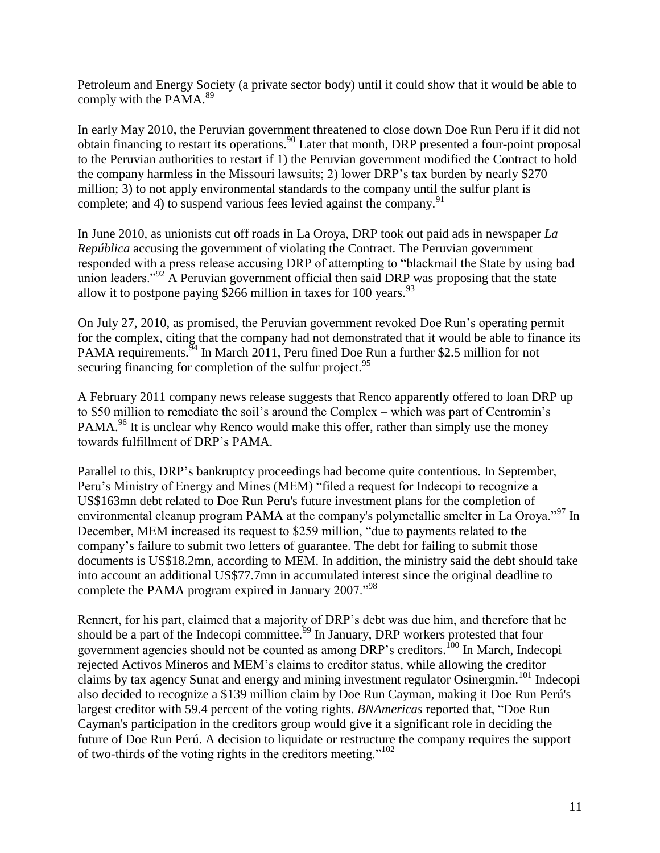Petroleum and Energy Society (a private sector body) until it could show that it would be able to comply with the PAMA. $^{89}$ 

In early May 2010, the Peruvian government threatened to close down Doe Run Peru if it did not obtain financing to restart its operations.<sup>90</sup> Later that month, DRP presented a four-point proposal to the Peruvian authorities to restart if 1) the Peruvian government modified the Contract to hold the company harmless in the Missouri lawsuits; 2) lower DRP's tax burden by nearly \$270 million; 3) to not apply environmental standards to the company until the sulfur plant is complete; and 4) to suspend various fees levied against the company.  $91$ 

In June 2010, as unionists cut off roads in La Oroya, DRP took out paid ads in newspaper *La República* accusing the government of violating the Contract. The Peruvian government responded with a press release accusing DRP of attempting to "blackmail the State by using bad union leaders."<sup>92</sup> A Peruvian government official then said DRP was proposing that the state allow it to postpone paying \$266 million in taxes for 100 years.  $93$ 

On July 27, 2010, as promised, the Peruvian government revoked Doe Run's operating permit for the complex, citing that the company had not demonstrated that it would be able to finance its PAMA requirements.<sup>94</sup> In March 2011, Peru fined Doe Run a further \$2.5 million for not securing financing for completion of the sulfur project.<sup>95</sup>

A February 2011 company news release suggests that Renco apparently offered to loan DRP up to \$50 million to remediate the soil's around the Complex – which was part of Centromin's PAMA.<sup>96</sup> It is unclear why Renco would make this offer, rather than simply use the money towards fulfillment of DRP's PAMA.

Parallel to this, DRP's bankruptcy proceedings had become quite contentious. In September, Peru's Ministry of Energy and Mines (MEM) "filed a request for Indecopi to recognize a US\$163mn debt related to Doe Run Peru's future investment plans for the completion of environmental cleanup program PAMA at the company's polymetallic smelter in La Oroya."<sup>97</sup> In December, MEM increased its request to \$259 million, "due to payments related to the company's failure to submit two letters of guarantee. The debt for failing to submit those documents is US\$18.2mn, according to MEM. In addition, the ministry said the debt should take into account an additional US\$77.7mn in accumulated interest since the original deadline to complete the PAMA program expired in January 2007.<sup>"98</sup>

Rennert, for his part, claimed that a majority of DRP's debt was due him, and therefore that he should be a part of the Indecopi committee.<sup>99</sup> In January, DRP workers protested that four government agencies should not be counted as among DRP's creditors.<sup>100</sup> In March, Indecopi rejected Activos Mineros and MEM's claims to creditor status, while allowing the creditor claims by tax agency Sunat and energy and mining investment regulator Osinergmin.<sup>101</sup> Indecopi also decided to recognize a \$139 million claim by Doe Run Cayman, making it Doe Run Perú's largest creditor with 59.4 percent of the voting rights. *BNAmericas* reported that, "Doe Run Cayman's participation in the creditors group would give it a significant role in deciding the future of Doe Run Perú. A decision to liquidate or restructure the company requires the support of two-thirds of the voting rights in the creditors meeting."<sup>102</sup>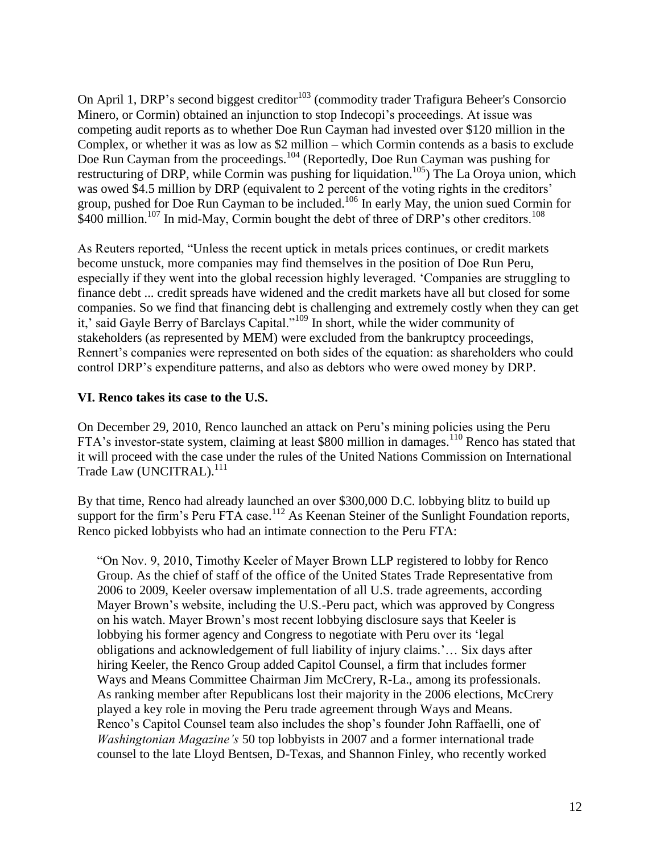On April 1, DRP's second biggest creditor<sup>103</sup> (commodity trader Trafigura Beheer's Consorcio Minero, or Cormin) obtained an injunction to stop Indecopi's proceedings. At issue was competing audit reports as to whether Doe Run Cayman had invested over \$120 million in the Complex, or whether it was as low as \$2 million – which Cormin contends as a basis to exclude Doe Run Cayman from the proceedings.<sup>104</sup> (Reportedly, Doe Run Cayman was pushing for restructuring of DRP, while Cormin was pushing for liquidation.<sup>105</sup>) The La Oroya union, which was owed \$4.5 million by DRP (equivalent to 2 percent of the voting rights in the creditors' group, pushed for Doe Run Cayman to be included.<sup>106</sup> In early May, the union sued Cormin for  $$400$  million.<sup>107</sup> In mid-May, Cormin bought the debt of three of DRP's other creditors.<sup>108</sup>

As Reuters reported, "Unless the recent uptick in metals prices continues, or credit markets become unstuck, more companies may find themselves in the position of Doe Run Peru, especially if they went into the global recession highly leveraged. 'Companies are struggling to finance debt ... credit spreads have widened and the credit markets have all but closed for some companies. So we find that financing debt is challenging and extremely costly when they can get it,' said Gayle Berry of Barclays Capital."<sup>109</sup> In short, while the wider community of stakeholders (as represented by MEM) were excluded from the bankruptcy proceedings, Rennert's companies were represented on both sides of the equation: as shareholders who could control DRP's expenditure patterns, and also as debtors who were owed money by DRP.

## **VI. Renco takes its case to the U.S.**

On December 29, 2010, Renco launched an attack on Peru's mining policies using the Peru FTA's investor-state system, claiming at least \$800 million in damages.<sup>110</sup> Renco has stated that it will proceed with the case under the rules of the United Nations Commission on International Trade Law (UNCITRAL).<sup>111</sup>

By that time, Renco had already launched an over \$300,000 D.C. lobbying blitz to build up support for the firm's Peru FTA case.<sup>112</sup> As Keenan Steiner of the Sunlight Foundation reports, Renco picked lobbyists who had an intimate connection to the Peru FTA:

"On Nov. 9, 2010, Timothy Keeler of Mayer Brown LLP registered to lobby for Renco Group. As the chief of staff of the office of the United States Trade Representative from 2006 to 2009, Keeler oversaw implementation of all U.S. trade agreements, according Mayer Brown's website, including the U.S.-Peru pact, which was approved by Congress on his watch. Mayer Brown's most recent lobbying disclosure says that Keeler is lobbying his former agency and Congress to negotiate with Peru over its 'legal obligations and acknowledgement of full liability of injury claims.'… Six days after hiring Keeler, the Renco Group added Capitol Counsel, a firm that includes former Ways and Means Committee Chairman Jim McCrery, R-La., among its professionals. As ranking member after Republicans lost their majority in the 2006 elections, McCrery played a key role in moving the Peru trade agreement through Ways and Means. Renco's Capitol Counsel team also includes the shop's founder John Raffaelli, one of *Washingtonian Magazine's* 50 top lobbyists in 2007 and a former international trade counsel to the late Lloyd Bentsen, D-Texas, and Shannon Finley, who recently worked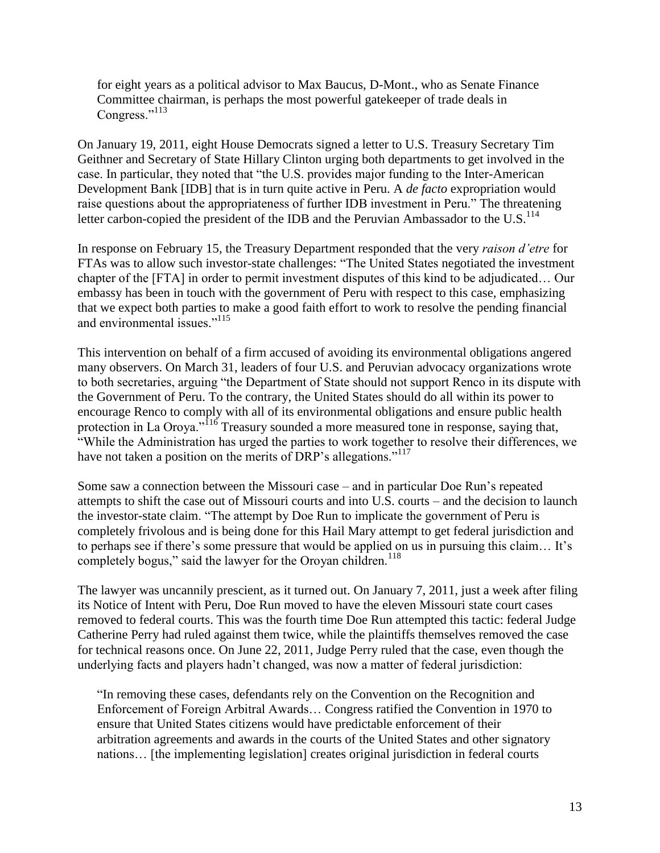for eight years as a political advisor to Max Baucus, D-Mont., who as Senate Finance Committee chairman, is perhaps the most powerful gatekeeper of trade deals in Congress."<sup>113</sup>

On January 19, 2011, eight House Democrats signed a letter to U.S. Treasury Secretary Tim Geithner and Secretary of State Hillary Clinton urging both departments to get involved in the case. In particular, they noted that "the U.S. provides major funding to the Inter-American Development Bank [IDB] that is in turn quite active in Peru. A *de facto* expropriation would raise questions about the appropriateness of further IDB investment in Peru." The threatening letter carbon-copied the president of the IDB and the Peruvian Ambassador to the U.S. $^{114}$ 

In response on February 15, the Treasury Department responded that the very *raison d'etre* for FTAs was to allow such investor-state challenges: "The United States negotiated the investment chapter of the [FTA] in order to permit investment disputes of this kind to be adjudicated… Our embassy has been in touch with the government of Peru with respect to this case, emphasizing that we expect both parties to make a good faith effort to work to resolve the pending financial and environmental issues."<sup>115</sup>

This intervention on behalf of a firm accused of avoiding its environmental obligations angered many observers. On March 31, leaders of four U.S. and Peruvian advocacy organizations wrote to both secretaries, arguing "the Department of State should not support Renco in its dispute with the Government of Peru. To the contrary, the United States should do all within its power to encourage Renco to comply with all of its environmental obligations and ensure public health protection in La Oroya."<sup>116</sup> Treasury sounded a more measured tone in response, saying that, "While the Administration has urged the parties to work together to resolve their differences, we have not taken a position on the merits of DRP's allegations."<sup>117</sup>

Some saw a connection between the Missouri case – and in particular Doe Run's repeated attempts to shift the case out of Missouri courts and into U.S. courts – and the decision to launch the investor-state claim. "The attempt by Doe Run to implicate the government of Peru is completely frivolous and is being done for this Hail Mary attempt to get federal jurisdiction and to perhaps see if there's some pressure that would be applied on us in pursuing this claim… It's completely bogus," said the lawyer for the Oroyan children.<sup>118</sup>

The lawyer was uncannily prescient, as it turned out. On January 7, 2011, just a week after filing its Notice of Intent with Peru, Doe Run moved to have the eleven Missouri state court cases removed to federal courts. This was the fourth time Doe Run attempted this tactic: federal Judge Catherine Perry had ruled against them twice, while the plaintiffs themselves removed the case for technical reasons once. On June 22, 2011, Judge Perry ruled that the case, even though the underlying facts and players hadn't changed, was now a matter of federal jurisdiction:

"In removing these cases, defendants rely on the Convention on the Recognition and Enforcement of Foreign Arbitral Awards… Congress ratified the Convention in 1970 to ensure that United States citizens would have predictable enforcement of their arbitration agreements and awards in the courts of the United States and other signatory nations… [the implementing legislation] creates original jurisdiction in federal courts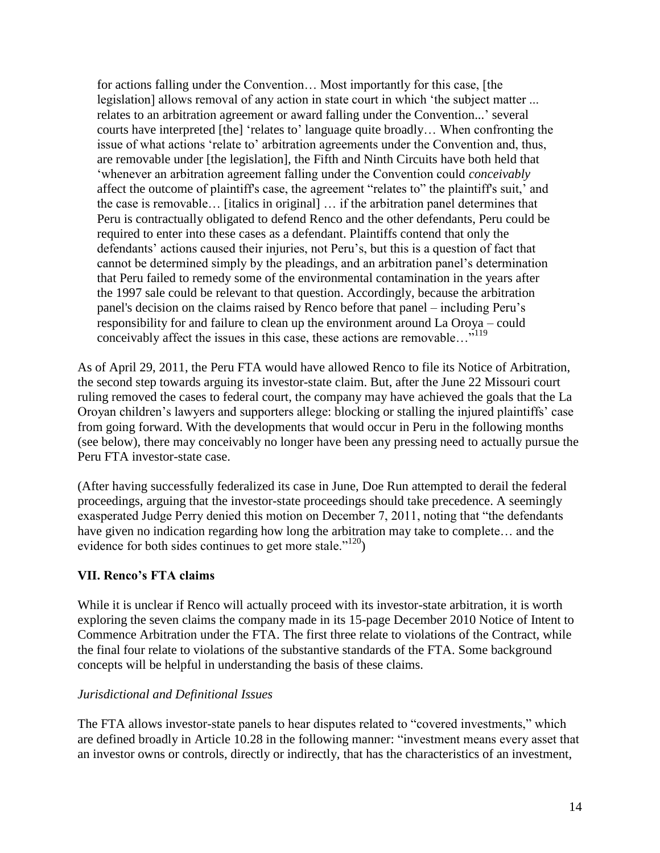for actions falling under the Convention… Most importantly for this case, [the legislation] allows removal of any action in state court in which 'the subject matter ... relates to an arbitration agreement or award falling under the Convention...' several courts have interpreted [the] 'relates to' language quite broadly… When confronting the issue of what actions 'relate to' arbitration agreements under the Convention and, thus, are removable under [the legislation], the Fifth and Ninth Circuits have both held that 'whenever an arbitration agreement falling under the Convention could *conceivably*  affect the outcome of plaintiff's case, the agreement "relates to" the plaintiff's suit,' and the case is removable… [italics in original] … if the arbitration panel determines that Peru is contractually obligated to defend Renco and the other defendants, Peru could be required to enter into these cases as a defendant. Plaintiffs contend that only the defendants' actions caused their injuries, not Peru's, but this is a question of fact that cannot be determined simply by the pleadings, and an arbitration panel's determination that Peru failed to remedy some of the environmental contamination in the years after the 1997 sale could be relevant to that question. Accordingly, because the arbitration panel's decision on the claims raised by Renco before that panel – including Peru's responsibility for and failure to clean up the environment around La Oroya – could conceivably affect the issues in this case, these actions are removable…"<sup>119</sup>

As of April 29, 2011, the Peru FTA would have allowed Renco to file its Notice of Arbitration, the second step towards arguing its investor-state claim. But, after the June 22 Missouri court ruling removed the cases to federal court, the company may have achieved the goals that the La Oroyan children's lawyers and supporters allege: blocking or stalling the injured plaintiffs' case from going forward. With the developments that would occur in Peru in the following months (see below), there may conceivably no longer have been any pressing need to actually pursue the Peru FTA investor-state case.

(After having successfully federalized its case in June, Doe Run attempted to derail the federal proceedings, arguing that the investor-state proceedings should take precedence. A seemingly exasperated Judge Perry denied this motion on December 7, 2011, noting that "the defendants have given no indication regarding how long the arbitration may take to complete... and the evidence for both sides continues to get more stale."<sup>120</sup>)

#### **VII. Renco's FTA claims**

While it is unclear if Renco will actually proceed with its investor-state arbitration, it is worth exploring the seven claims the company made in its 15-page December 2010 Notice of Intent to Commence Arbitration under the FTA. The first three relate to violations of the Contract, while the final four relate to violations of the substantive standards of the FTA. Some background concepts will be helpful in understanding the basis of these claims.

#### *Jurisdictional and Definitional Issues*

The FTA allows investor-state panels to hear disputes related to "covered investments," which are defined broadly in Article 10.28 in the following manner: "investment means every asset that an investor owns or controls, directly or indirectly, that has the characteristics of an investment,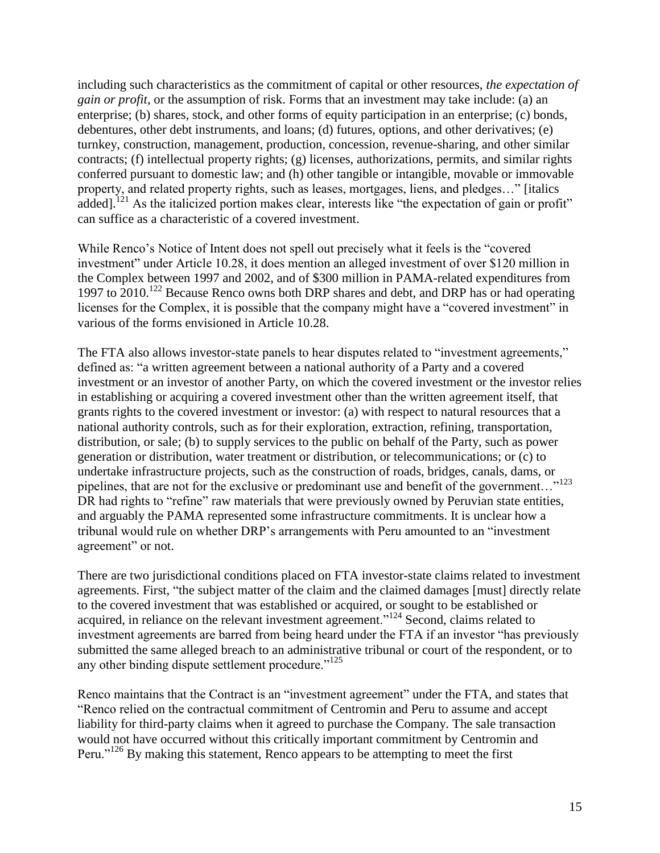including such characteristics as the commitment of capital or other resources, *the expectation of gain or profit,* or the assumption of risk. Forms that an investment may take include: (a) an enterprise; (b) shares, stock, and other forms of equity participation in an enterprise; (c) bonds, debentures, other debt instruments, and loans; (d) futures, options, and other derivatives; (e) turnkey, construction, management, production, concession, revenue-sharing, and other similar contracts; (f) intellectual property rights; (g) licenses, authorizations, permits, and similar rights conferred pursuant to domestic law; and (h) other tangible or intangible, movable or immovable property, and related property rights, such as leases, mortgages, liens, and pledges…" [italics added].<sup>121</sup> As the italicized portion makes clear, interests like "the expectation of gain or profit" can suffice as a characteristic of a covered investment.

While Renco's Notice of Intent does not spell out precisely what it feels is the "covered investment" under Article 10.28, it does mention an alleged investment of over \$120 million in the Complex between 1997 and 2002, and of \$300 million in PAMA-related expenditures from 1997 to 2010.<sup>122</sup> Because Renco owns both DRP shares and debt, and DRP has or had operating licenses for the Complex, it is possible that the company might have a "covered investment" in various of the forms envisioned in Article 10.28.

The FTA also allows investor-state panels to hear disputes related to "investment agreements," defined as: "a written agreement between a national authority of a Party and a covered investment or an investor of another Party, on which the covered investment or the investor relies in establishing or acquiring a covered investment other than the written agreement itself, that grants rights to the covered investment or investor: (a) with respect to natural resources that a national authority controls, such as for their exploration, extraction, refining, transportation, distribution, or sale; (b) to supply services to the public on behalf of the Party, such as power generation or distribution, water treatment or distribution, or telecommunications; or (c) to undertake infrastructure projects, such as the construction of roads, bridges, canals, dams, or pipelines, that are not for the exclusive or predominant use and benefit of the government..."<sup>123</sup> DR had rights to "refine" raw materials that were previously owned by Peruvian state entities, and arguably the PAMA represented some infrastructure commitments. It is unclear how a tribunal would rule on whether DRP's arrangements with Peru amounted to an "investment agreement" or not.

There are two jurisdictional conditions placed on FTA investor-state claims related to investment agreements. First, "the subject matter of the claim and the claimed damages [must] directly relate to the covered investment that was established or acquired, or sought to be established or acquired, in reliance on the relevant investment agreement."<sup>124</sup> Second, claims related to investment agreements are barred from being heard under the FTA if an investor "has previously submitted the same alleged breach to an administrative tribunal or court of the respondent, or to any other binding dispute settlement procedure."<sup>125</sup>

Renco maintains that the Contract is an "investment agreement" under the FTA, and states that "Renco relied on the contractual commitment of Centromin and Peru to assume and accept liability for third-party claims when it agreed to purchase the Company. The sale transaction would not have occurred without this critically important commitment by Centromin and Peru."<sup>126</sup> By making this statement, Renco appears to be attempting to meet the first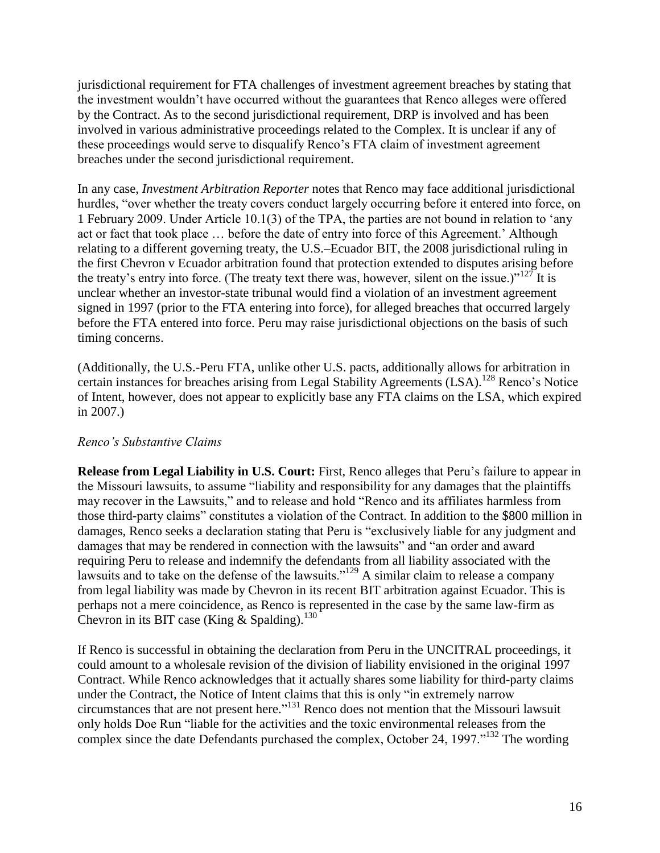jurisdictional requirement for FTA challenges of investment agreement breaches by stating that the investment wouldn't have occurred without the guarantees that Renco alleges were offered by the Contract. As to the second jurisdictional requirement, DRP is involved and has been involved in various administrative proceedings related to the Complex. It is unclear if any of these proceedings would serve to disqualify Renco's FTA claim of investment agreement breaches under the second jurisdictional requirement.

In any case, *Investment Arbitration Reporter* notes that Renco may face additional jurisdictional hurdles, "over whether the treaty covers conduct largely occurring before it entered into force, on 1 February 2009. Under Article 10.1(3) of the TPA, the parties are not bound in relation to 'any act or fact that took place … before the date of entry into force of this Agreement.' Although relating to a different governing treaty, the U.S.–Ecuador BIT, the 2008 jurisdictional ruling in the first Chevron v Ecuador arbitration found that protection extended to disputes arising before the treaty's entry into force. (The treaty text there was, however, silent on the issue.)"<sup>127</sup> It is unclear whether an investor-state tribunal would find a violation of an investment agreement signed in 1997 (prior to the FTA entering into force), for alleged breaches that occurred largely before the FTA entered into force. Peru may raise jurisdictional objections on the basis of such timing concerns.

(Additionally, the U.S.-Peru FTA, unlike other U.S. pacts, additionally allows for arbitration in certain instances for breaches arising from Legal Stability Agreements (LSA).<sup>128</sup> Renco's Notice of Intent, however, does not appear to explicitly base any FTA claims on the LSA, which expired in 2007.)

## *Renco's Substantive Claims*

**Release from Legal Liability in U.S. Court:** First, Renco alleges that Peru's failure to appear in the Missouri lawsuits, to assume "liability and responsibility for any damages that the plaintiffs may recover in the Lawsuits," and to release and hold "Renco and its affiliates harmless from those third-party claims" constitutes a violation of the Contract. In addition to the \$800 million in damages, Renco seeks a declaration stating that Peru is "exclusively liable for any judgment and damages that may be rendered in connection with the lawsuits" and "an order and award requiring Peru to release and indemnify the defendants from all liability associated with the lawsuits and to take on the defense of the lawsuits."<sup>129</sup> A similar claim to release a company from legal liability was made by Chevron in its recent BIT arbitration against Ecuador. This is perhaps not a mere coincidence, as Renco is represented in the case by the same law-firm as Chevron in its BIT case (King & Spalding).<sup>130</sup>

If Renco is successful in obtaining the declaration from Peru in the UNCITRAL proceedings, it could amount to a wholesale revision of the division of liability envisioned in the original 1997 Contract. While Renco acknowledges that it actually shares some liability for third-party claims under the Contract, the Notice of Intent claims that this is only "in extremely narrow circumstances that are not present here." <sup>131</sup> Renco does not mention that the Missouri lawsuit only holds Doe Run "liable for the activities and the toxic environmental releases from the complex since the date Defendants purchased the complex, October 24, 1997."<sup>132</sup> The wording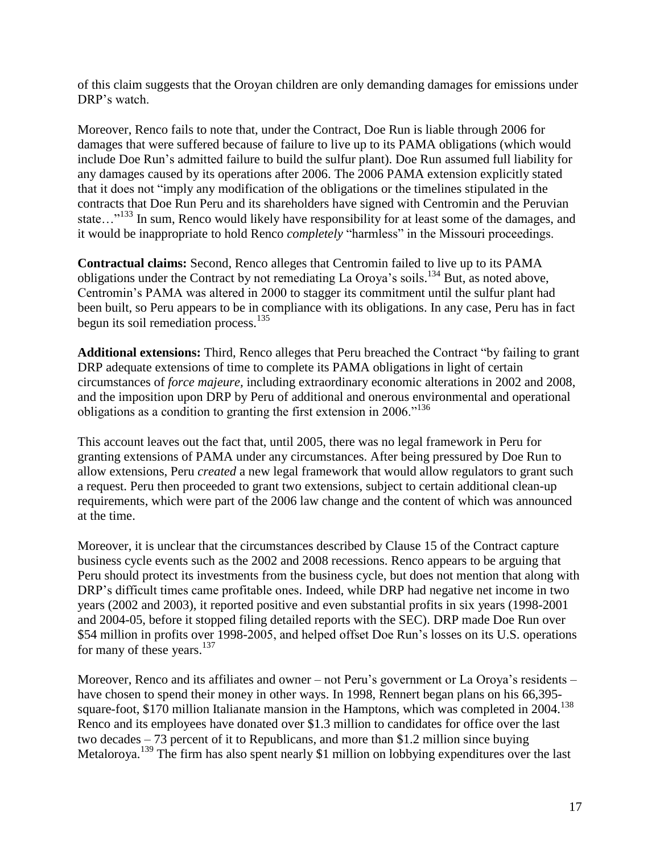of this claim suggests that the Oroyan children are only demanding damages for emissions under DRP's watch.

Moreover, Renco fails to note that, under the Contract, Doe Run is liable through 2006 for damages that were suffered because of failure to live up to its PAMA obligations (which would include Doe Run's admitted failure to build the sulfur plant). Doe Run assumed full liability for any damages caused by its operations after 2006. The 2006 PAMA extension explicitly stated that it does not "imply any modification of the obligations or the timelines stipulated in the contracts that Doe Run Peru and its shareholders have signed with Centromin and the Peruvian state..."<sup>133</sup> In sum, Renco would likely have responsibility for at least some of the damages, and it would be inappropriate to hold Renco *completely* "harmless" in the Missouri proceedings.

**Contractual claims:** Second, Renco alleges that Centromin failed to live up to its PAMA obligations under the Contract by not remediating La Oroya's soils.<sup>134</sup> But, as noted above, Centromin's PAMA was altered in 2000 to stagger its commitment until the sulfur plant had been built, so Peru appears to be in compliance with its obligations. In any case, Peru has in fact begun its soil remediation process. $135$ 

**Additional extensions:** Third, Renco alleges that Peru breached the Contract "by failing to grant DRP adequate extensions of time to complete its PAMA obligations in light of certain circumstances of *force majeure,* including extraordinary economic alterations in 2002 and 2008, and the imposition upon DRP by Peru of additional and onerous environmental and operational obligations as a condition to granting the first extension in 2006."<sup>136</sup>

This account leaves out the fact that, until 2005, there was no legal framework in Peru for granting extensions of PAMA under any circumstances. After being pressured by Doe Run to allow extensions, Peru *created* a new legal framework that would allow regulators to grant such a request. Peru then proceeded to grant two extensions, subject to certain additional clean-up requirements, which were part of the 2006 law change and the content of which was announced at the time.

Moreover, it is unclear that the circumstances described by Clause 15 of the Contract capture business cycle events such as the 2002 and 2008 recessions. Renco appears to be arguing that Peru should protect its investments from the business cycle, but does not mention that along with DRP's difficult times came profitable ones. Indeed, while DRP had negative net income in two years (2002 and 2003), it reported positive and even substantial profits in six years (1998-2001 and 2004-05, before it stopped filing detailed reports with the SEC). DRP made Doe Run over \$54 million in profits over 1998-2005, and helped offset Doe Run's losses on its U.S. operations for many of these years.<sup>137</sup>

Moreover, Renco and its affiliates and owner – not Peru's government or La Oroya's residents – have chosen to spend their money in other ways. In 1998, Rennert began plans on his 66,395 square-foot, \$170 million Italianate mansion in the Hamptons, which was completed in  $2004$ .<sup>138</sup> Renco and its employees have donated over \$1.3 million to candidates for office over the last two decades – 73 percent of it to Republicans, and more than \$1.2 million since buying Metaloroya.<sup>139</sup> The firm has also spent nearly \$1 million on lobbying expenditures over the last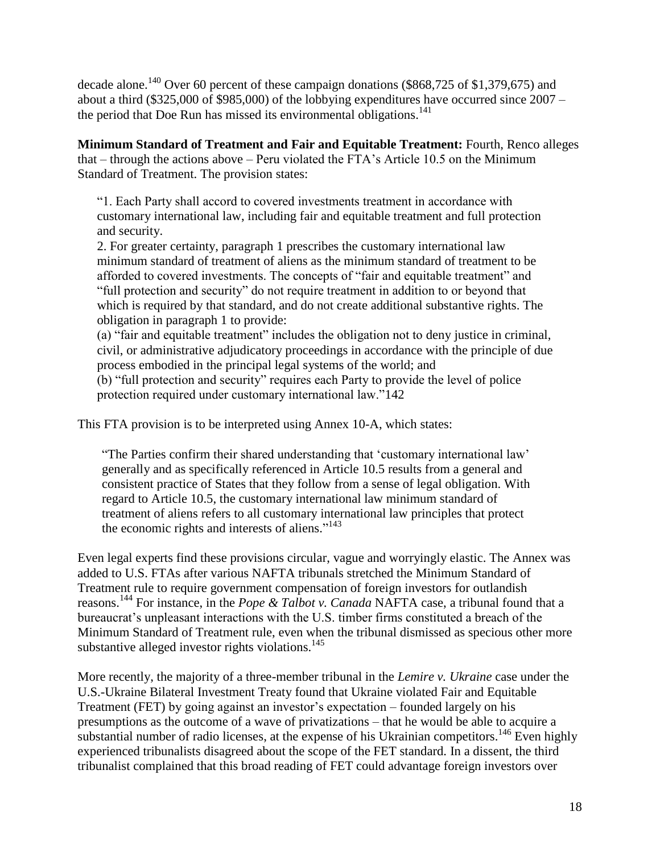decade alone.<sup>140</sup> Over 60 percent of these campaign donations (\$868,725 of \$1,379,675) and about a third (\$325,000 of \$985,000) of the lobbying expenditures have occurred since 2007 – the period that Doe Run has missed its environmental obligations. 141

**Minimum Standard of Treatment and Fair and Equitable Treatment:** Fourth, Renco alleges that – through the actions above – Peru violated the FTA's Article 10.5 on the Minimum Standard of Treatment. The provision states:

"1. Each Party shall accord to covered investments treatment in accordance with customary international law, including fair and equitable treatment and full protection and security.

2. For greater certainty, paragraph 1 prescribes the customary international law minimum standard of treatment of aliens as the minimum standard of treatment to be afforded to covered investments. The concepts of "fair and equitable treatment" and "full protection and security" do not require treatment in addition to or beyond that which is required by that standard, and do not create additional substantive rights. The obligation in paragraph 1 to provide:

(a) "fair and equitable treatment" includes the obligation not to deny justice in criminal, civil, or administrative adjudicatory proceedings in accordance with the principle of due process embodied in the principal legal systems of the world; and

(b) "full protection and security" requires each Party to provide the level of police protection required under customary international law."142

This FTA provision is to be interpreted using Annex 10-A, which states:

"The Parties confirm their shared understanding that 'customary international law' generally and as specifically referenced in Article 10.5 results from a general and consistent practice of States that they follow from a sense of legal obligation. With regard to Article 10.5, the customary international law minimum standard of treatment of aliens refers to all customary international law principles that protect the economic rights and interests of aliens."<sup>143</sup>

Even legal experts find these provisions circular, vague and worryingly elastic. The Annex was added to U.S. FTAs after various NAFTA tribunals stretched the Minimum Standard of Treatment rule to require government compensation of foreign investors for outlandish reasons. <sup>144</sup> For instance, in the *Pope & Talbot v. Canada* NAFTA case, a tribunal found that a bureaucrat's unpleasant interactions with the U.S. timber firms constituted a breach of the Minimum Standard of Treatment rule, even when the tribunal dismissed as specious other more substantive alleged investor rights violations. $145$ 

More recently, the majority of a three-member tribunal in the *Lemire v. Ukraine* case under the U.S.-Ukraine Bilateral Investment Treaty found that Ukraine violated Fair and Equitable Treatment (FET) by going against an investor's expectation – founded largely on his presumptions as the outcome of a wave of privatizations – that he would be able to acquire a substantial number of radio licenses, at the expense of his Ukrainian competitors.<sup>146</sup> Even highly experienced tribunalists disagreed about the scope of the FET standard. In a dissent, the third tribunalist complained that this broad reading of FET could advantage foreign investors over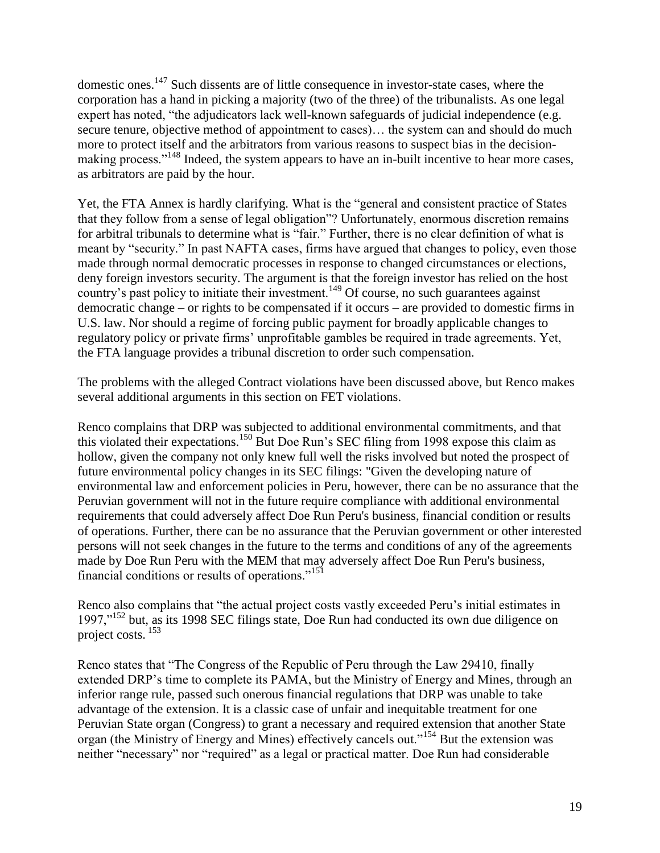domestic ones.<sup>147</sup> Such dissents are of little consequence in investor-state cases, where the corporation has a hand in picking a majority (two of the three) of the tribunalists. As one legal expert has noted, "the adjudicators lack well-known safeguards of judicial independence (e.g. secure tenure, objective method of appointment to cases)… the system can and should do much more to protect itself and the arbitrators from various reasons to suspect bias in the decisionmaking process."<sup>148</sup> Indeed, the system appears to have an in-built incentive to hear more cases, as arbitrators are paid by the hour.

Yet, the FTA Annex is hardly clarifying. What is the "general and consistent practice of States that they follow from a sense of legal obligation"? Unfortunately, enormous discretion remains for arbitral tribunals to determine what is "fair." Further, there is no clear definition of what is meant by "security." In past NAFTA cases, firms have argued that changes to policy, even those made through normal democratic processes in response to changed circumstances or elections, deny foreign investors security. The argument is that the foreign investor has relied on the host country's past policy to initiate their investment.<sup>149</sup> Of course, no such guarantees against democratic change – or rights to be compensated if it occurs – are provided to domestic firms in U.S. law. Nor should a regime of forcing public payment for broadly applicable changes to regulatory policy or private firms' unprofitable gambles be required in trade agreements. Yet, the FTA language provides a tribunal discretion to order such compensation.

The problems with the alleged Contract violations have been discussed above, but Renco makes several additional arguments in this section on FET violations.

Renco complains that DRP was subjected to additional environmental commitments, and that this violated their expectations.<sup>150</sup> But Doe Run's SEC filing from 1998 expose this claim as hollow, given the company not only knew full well the risks involved but noted the prospect of future environmental policy changes in its SEC filings: "Given the developing nature of environmental law and enforcement policies in Peru, however, there can be no assurance that the Peruvian government will not in the future require compliance with additional environmental requirements that could adversely affect Doe Run Peru's business, financial condition or results of operations. Further, there can be no assurance that the Peruvian government or other interested persons will not seek changes in the future to the terms and conditions of any of the agreements made by Doe Run Peru with the MEM that may adversely affect Doe Run Peru's business, financial conditions or results of operations."<sup>151</sup>

Renco also complains that "the actual project costs vastly exceeded Peru's initial estimates in 1997,"<sup>152</sup> but, as its 1998 SEC filings state, Doe Run had conducted its own due diligence on project costs. <sup>153</sup>

Renco states that "The Congress of the Republic of Peru through the Law 29410, finally extended DRP's time to complete its PAMA, but the Ministry of Energy and Mines, through an inferior range rule, passed such onerous financial regulations that DRP was unable to take advantage of the extension. It is a classic case of unfair and inequitable treatment for one Peruvian State organ (Congress) to grant a necessary and required extension that another State organ (the Ministry of Energy and Mines) effectively cancels out."<sup>154</sup> But the extension was neither "necessary" nor "required" as a legal or practical matter. Doe Run had considerable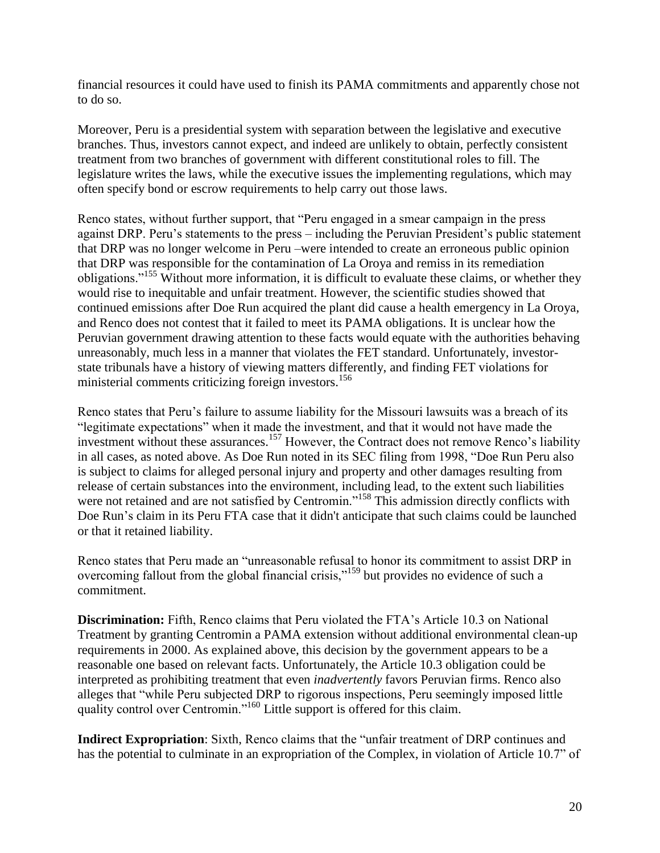financial resources it could have used to finish its PAMA commitments and apparently chose not to do so.

Moreover, Peru is a presidential system with separation between the legislative and executive branches. Thus, investors cannot expect, and indeed are unlikely to obtain, perfectly consistent treatment from two branches of government with different constitutional roles to fill. The legislature writes the laws, while the executive issues the implementing regulations, which may often specify bond or escrow requirements to help carry out those laws.

Renco states, without further support, that "Peru engaged in a smear campaign in the press against DRP. Peru's statements to the press – including the Peruvian President's public statement that DRP was no longer welcome in Peru –were intended to create an erroneous public opinion that DRP was responsible for the contamination of La Oroya and remiss in its remediation obligations."<sup>155</sup> Without more information, it is difficult to evaluate these claims, or whether they would rise to inequitable and unfair treatment. However, the scientific studies showed that continued emissions after Doe Run acquired the plant did cause a health emergency in La Oroya, and Renco does not contest that it failed to meet its PAMA obligations. It is unclear how the Peruvian government drawing attention to these facts would equate with the authorities behaving unreasonably, much less in a manner that violates the FET standard. Unfortunately, investorstate tribunals have a history of viewing matters differently, and finding FET violations for ministerial comments criticizing foreign investors.<sup>156</sup>

Renco states that Peru's failure to assume liability for the Missouri lawsuits was a breach of its "legitimate expectations" when it made the investment, and that it would not have made the investment without these assurances.<sup>157</sup> However, the Contract does not remove Renco's liability in all cases, as noted above. As Doe Run noted in its SEC filing from 1998, "Doe Run Peru also is subject to claims for alleged personal injury and property and other damages resulting from release of certain substances into the environment, including lead, to the extent such liabilities were not retained and are not satisfied by Centromin."<sup>158</sup> This admission directly conflicts with Doe Run's claim in its Peru FTA case that it didn't anticipate that such claims could be launched or that it retained liability.

Renco states that Peru made an "unreasonable refusal to honor its commitment to assist DRP in overcoming fallout from the global financial crisis,"<sup>159</sup> but provides no evidence of such a commitment.

**Discrimination:** Fifth, Renco claims that Peru violated the FTA's Article 10.3 on National Treatment by granting Centromin a PAMA extension without additional environmental clean-up requirements in 2000. As explained above, this decision by the government appears to be a reasonable one based on relevant facts. Unfortunately, the Article 10.3 obligation could be interpreted as prohibiting treatment that even *inadvertently* favors Peruvian firms. Renco also alleges that "while Peru subjected DRP to rigorous inspections, Peru seemingly imposed little quality control over Centromin."<sup>160</sup> Little support is offered for this claim.

**Indirect Expropriation**: Sixth, Renco claims that the "unfair treatment of DRP continues and has the potential to culminate in an expropriation of the Complex, in violation of Article 10.7" of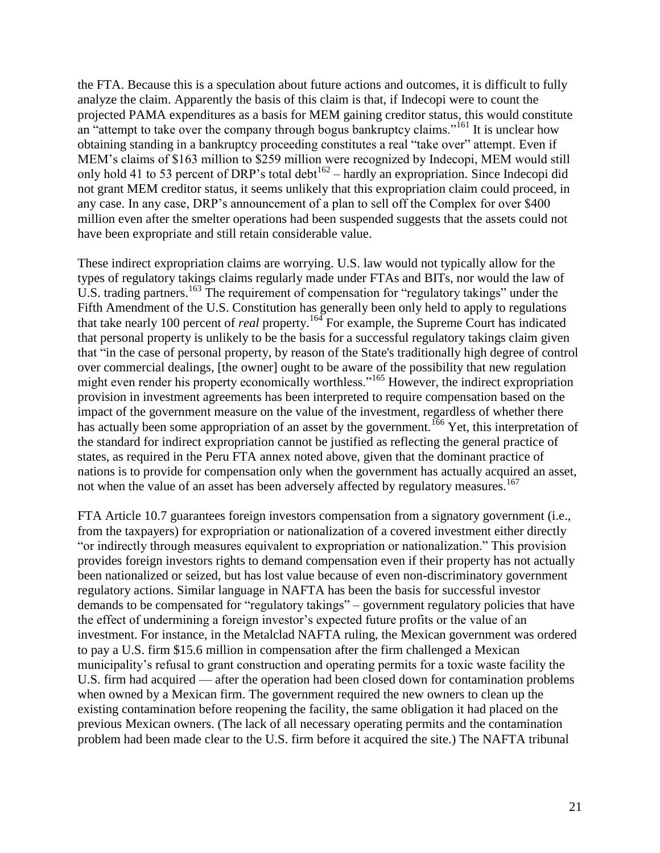the FTA. Because this is a speculation about future actions and outcomes, it is difficult to fully analyze the claim. Apparently the basis of this claim is that, if Indecopi were to count the projected PAMA expenditures as a basis for MEM gaining creditor status, this would constitute an "attempt to take over the company through bogus bankruptcy claims."<sup>161</sup> It is unclear how obtaining standing in a bankruptcy proceeding constitutes a real "take over" attempt. Even if MEM's claims of \$163 million to \$259 million were recognized by Indecopi, MEM would still only hold 41 to 53 percent of DRP's total debt<sup>162</sup> – hardly an expropriation. Since Indecopi did not grant MEM creditor status, it seems unlikely that this expropriation claim could proceed, in any case. In any case, DRP's announcement of a plan to sell off the Complex for over \$400 million even after the smelter operations had been suspended suggests that the assets could not have been expropriate and still retain considerable value.

These indirect expropriation claims are worrying. U.S. law would not typically allow for the types of regulatory takings claims regularly made under FTAs and BITs, nor would the law of U.S. trading partners.<sup>163</sup> The requirement of compensation for "regulatory takings" under the Fifth Amendment of the U.S. Constitution has generally been only held to apply to regulations that take nearly 100 percent of *real* property.<sup>164</sup> For example, the Supreme Court has indicated that personal property is unlikely to be the basis for a successful regulatory takings claim given that "in the case of personal property, by reason of the State's traditionally high degree of control over commercial dealings, [the owner] ought to be aware of the possibility that new regulation might even render his property economically worthless."<sup>165</sup> However, the indirect expropriation provision in investment agreements has been interpreted to require compensation based on the impact of the government measure on the value of the investment, regardless of whether there has actually been some appropriation of an asset by the government.<sup>166</sup> Yet, this interpretation of the standard for indirect expropriation cannot be justified as reflecting the general practice of states, as required in the Peru FTA annex noted above, given that the dominant practice of nations is to provide for compensation only when the government has actually acquired an asset, not when the value of an asset has been adversely affected by regulatory measures.<sup>167</sup>

FTA Article 10.7 guarantees foreign investors compensation from a signatory government (i.e., from the taxpayers) for expropriation or nationalization of a covered investment either directly "or indirectly through measures equivalent to expropriation or nationalization." This provision provides foreign investors rights to demand compensation even if their property has not actually been nationalized or seized, but has lost value because of even non-discriminatory government regulatory actions. Similar language in NAFTA has been the basis for successful investor demands to be compensated for "regulatory takings" – government regulatory policies that have the effect of undermining a foreign investor's expected future profits or the value of an investment. For instance, in the Metalclad NAFTA ruling, the Mexican government was ordered to pay a U.S. firm \$15.6 million in compensation after the firm challenged a Mexican municipality's refusal to grant construction and operating permits for a toxic waste facility the U.S. firm had acquired — after the operation had been closed down for contamination problems when owned by a Mexican firm. The government required the new owners to clean up the existing contamination before reopening the facility, the same obligation it had placed on the previous Mexican owners. (The lack of all necessary operating permits and the contamination problem had been made clear to the U.S. firm before it acquired the site.) The NAFTA tribunal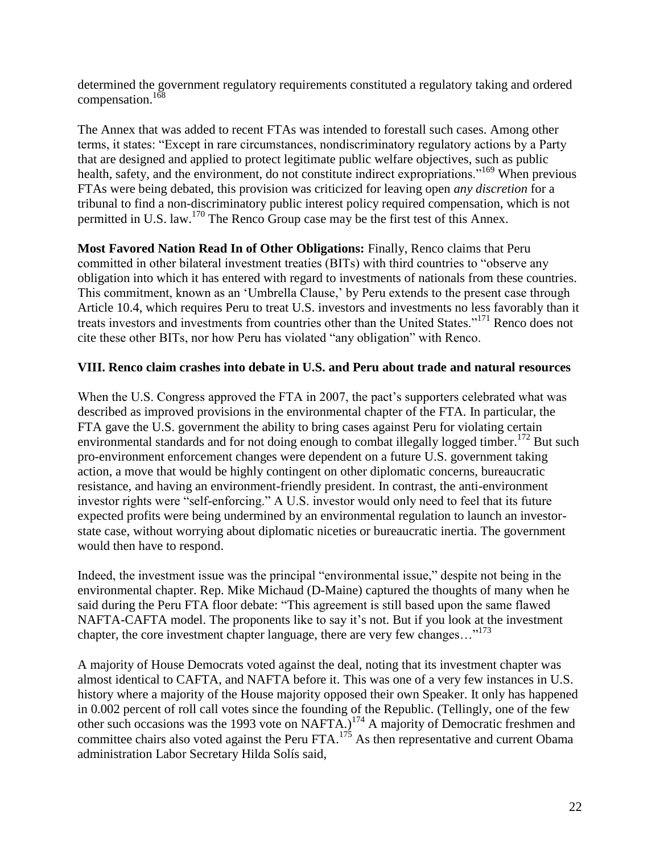determined the government regulatory requirements constituted a regulatory taking and ordered compensation.<sup>168</sup>

The Annex that was added to recent FTAs was intended to forestall such cases. Among other terms, it states: "Except in rare circumstances, nondiscriminatory regulatory actions by a Party that are designed and applied to protect legitimate public welfare objectives, such as public health, safety, and the environment, do not constitute indirect expropriations."<sup>169</sup> When previous FTAs were being debated, this provision was criticized for leaving open *any discretion* for a tribunal to find a non-discriminatory public interest policy required compensation, which is not permitted in U.S. law.<sup>170</sup> The Renco Group case may be the first test of this Annex.

**Most Favored Nation Read In of Other Obligations:** Finally, Renco claims that Peru committed in other bilateral investment treaties (BITs) with third countries to "observe any obligation into which it has entered with regard to investments of nationals from these countries. This commitment, known as an 'Umbrella Clause,' by Peru extends to the present case through Article 10.4, which requires Peru to treat U.S. investors and investments no less favorably than it treats investors and investments from countries other than the United States."<sup>171</sup> Renco does not cite these other BITs, nor how Peru has violated "any obligation" with Renco.

## **VIII. Renco claim crashes into debate in U.S. and Peru about trade and natural resources**

When the U.S. Congress approved the FTA in 2007, the pact's supporters celebrated what was described as improved provisions in the environmental chapter of the FTA. In particular, the FTA gave the U.S. government the ability to bring cases against Peru for violating certain environmental standards and for not doing enough to combat illegally logged timber.<sup>172</sup> But such pro-environment enforcement changes were dependent on a future U.S. government taking action, a move that would be highly contingent on other diplomatic concerns, bureaucratic resistance, and having an environment-friendly president. In contrast, the anti-environment investor rights were "self-enforcing." A U.S. investor would only need to feel that its future expected profits were being undermined by an environmental regulation to launch an investorstate case, without worrying about diplomatic niceties or bureaucratic inertia. The government would then have to respond.

Indeed, the investment issue was the principal "environmental issue," despite not being in the environmental chapter. Rep. Mike Michaud (D-Maine) captured the thoughts of many when he said during the Peru FTA floor debate: "This agreement is still based upon the same flawed NAFTA-CAFTA model. The proponents like to say it's not. But if you look at the investment chapter, the core investment chapter language, there are very few changes..."<sup>173</sup>

A majority of House Democrats voted against the deal, noting that its investment chapter was almost identical to CAFTA, and NAFTA before it. This was one of a very few instances in U.S. history where a majority of the House majority opposed their own Speaker. It only has happened in 0.002 percent of roll call votes since the founding of the Republic. (Tellingly, one of the few other such occasions was the 1993 vote on NAFTA.)<sup>174</sup> A majority of Democratic freshmen and committee chairs also voted against the Peru FTA. $^{175}$  As then representative and current Obama administration Labor Secretary Hilda Solís said,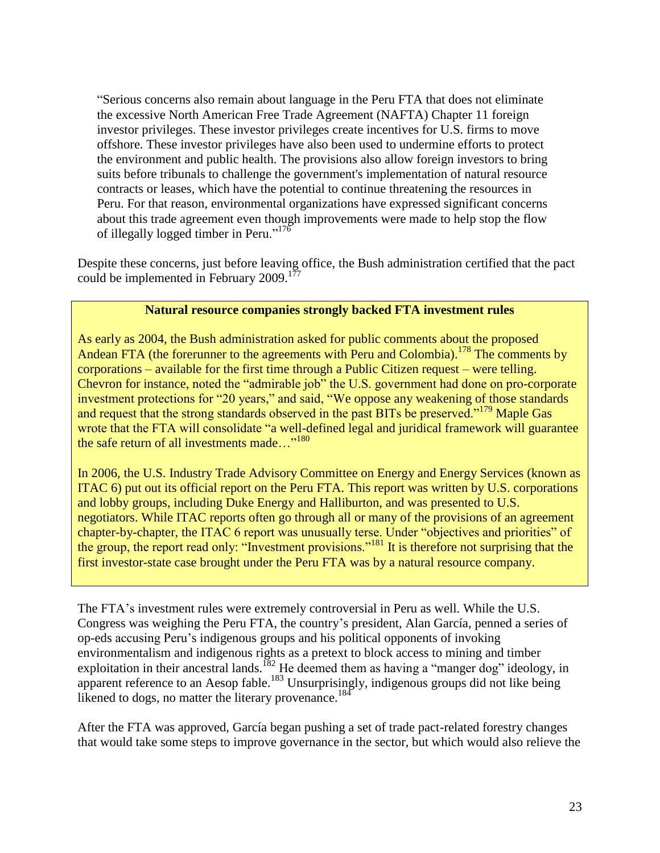"Serious concerns also remain about language in the Peru FTA that does not eliminate the excessive North American Free Trade Agreement (NAFTA) Chapter 11 foreign investor privileges. These investor privileges create incentives for U.S. firms to move offshore. These investor privileges have also been used to undermine efforts to protect the environment and public health. The provisions also allow foreign investors to bring suits before tribunals to challenge the government's implementation of natural resource contracts or leases, which have the potential to continue threatening the resources in Peru. For that reason, environmental organizations have expressed significant concerns about this trade agreement even though improvements were made to help stop the flow of illegally logged timber in Peru."<sup>176</sup>

Despite these concerns, just before leaving office, the Bush administration certified that the pact could be implemented in February 2009.<sup>177</sup>

#### **Natural resource companies strongly backed FTA investment rules**

As early as 2004, the Bush administration asked for public comments about the proposed Andean FTA (the forerunner to the agreements with Peru and Colombia).<sup>178</sup> The comments by corporations – available for the first time through a Public Citizen request – were telling. Chevron for instance, noted the "admirable job" the U.S. government had done on pro-corporate investment protections for "20 years," and said, "We oppose any weakening of those standards and request that the strong standards observed in the past BITs be preserved."<sup>179</sup> Maple Gas wrote that the FTA will consolidate "a well-defined legal and juridical framework will guarantee the safe return of all investments made..."<sup>180</sup>

In 2006, the U.S. Industry Trade Advisory Committee on Energy and Energy Services (known as ITAC 6) put out its official report on the Peru FTA. This report was written by U.S. corporations and lobby groups, including Duke Energy and Halliburton, and was presented to U.S. negotiators. While ITAC reports often go through all or many of the provisions of an agreement chapter-by-chapter, the ITAC 6 report was unusually terse. Under "objectives and priorities" of the group, the report read only: "Investment provisions."<sup>181</sup> It is therefore not surprising that the first investor-state case brought under the Peru FTA was by a natural resource company.

The FTA's investment rules were extremely controversial in Peru as well. While the U.S. Congress was weighing the Peru FTA, the country's president, Alan García, penned a series of op-eds accusing Peru's indigenous groups and his political opponents of invoking environmentalism and indigenous rights as a pretext to block access to mining and timber exploitation in their ancestral lands.<sup>182</sup> He deemed them as having a "manger dog" ideology, in apparent reference to an Aesop fable.<sup>183</sup> Unsurprisingly, indigenous groups did not like being likened to dogs, no matter the literary provenance.<sup>184</sup>

After the FTA was approved, García began pushing a set of trade pact-related forestry changes that would take some steps to improve governance in the sector, but which would also relieve the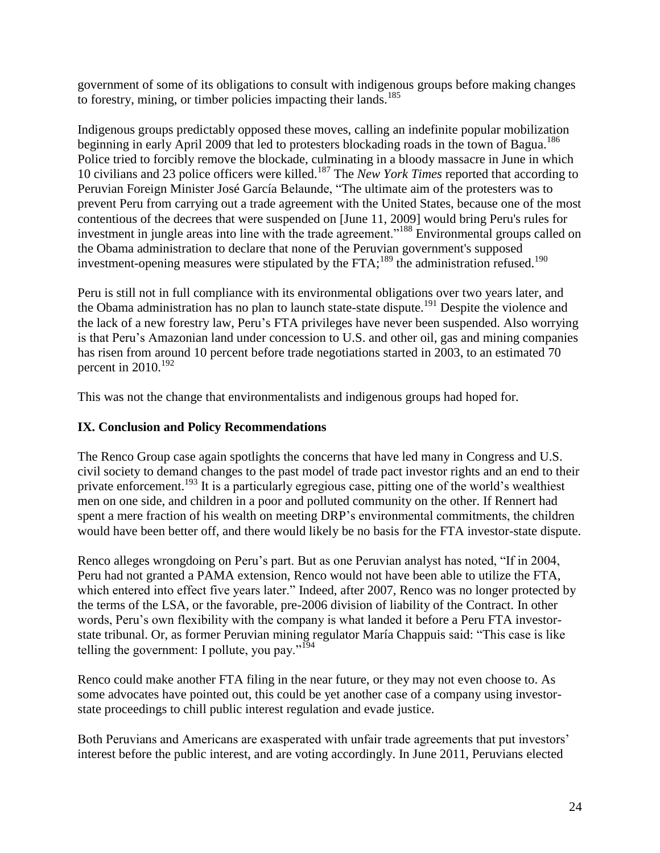government of some of its obligations to consult with indigenous groups before making changes to forestry, mining, or timber policies impacting their lands.<sup>185</sup>

Indigenous groups predictably opposed these moves, calling an indefinite popular mobilization beginning in early April 2009 that led to protesters blockading roads in the town of Bagua.<sup>186</sup> Police tried to forcibly remove the blockade, culminating in a bloody massacre in June in which 10 civilians and 23 police officers were killed.<sup>187</sup> The *New York Times* reported that according to Peruvian Foreign Minister José García Belaunde, "The ultimate aim of the protesters was to prevent Peru from carrying out a trade agreement with the United States, because one of the most contentious of the decrees that were suspended on [June 11, 2009] would bring Peru's rules for investment in jungle areas into line with the trade agreement."<sup>188</sup> Environmental groups called on the Obama administration to declare that none of the Peruvian government's supposed investment-opening measures were stipulated by the FTA;<sup>189</sup> the administration refused.<sup>190</sup>

Peru is still not in full compliance with its environmental obligations over two years later, and the Obama administration has no plan to launch state-state dispute.<sup>191</sup> Despite the violence and the lack of a new forestry law, Peru's FTA privileges have never been suspended. Also worrying is that Peru's Amazonian land under concession to U.S. and other oil, gas and mining companies has risen from around 10 percent before trade negotiations started in 2003, to an estimated 70 percent in  $2010$ .<sup>192</sup>

This was not the change that environmentalists and indigenous groups had hoped for.

# **IX. Conclusion and Policy Recommendations**

The Renco Group case again spotlights the concerns that have led many in Congress and U.S. civil society to demand changes to the past model of trade pact investor rights and an end to their private enforcement.<sup>193</sup> It is a particularly egregious case, pitting one of the world's wealthiest men on one side, and children in a poor and polluted community on the other. If Rennert had spent a mere fraction of his wealth on meeting DRP's environmental commitments, the children would have been better off, and there would likely be no basis for the FTA investor-state dispute.

Renco alleges wrongdoing on Peru's part. But as one Peruvian analyst has noted, "If in 2004, Peru had not granted a PAMA extension, Renco would not have been able to utilize the FTA, which entered into effect five years later." Indeed, after 2007, Renco was no longer protected by the terms of the LSA, or the favorable, pre-2006 division of liability of the Contract. In other words, Peru's own flexibility with the company is what landed it before a Peru FTA investorstate tribunal. Or, as former Peruvian mining regulator María Chappuis said: "This case is like telling the government: I pollute, you pay." $194$ 

Renco could make another FTA filing in the near future, or they may not even choose to. As some advocates have pointed out, this could be yet another case of a company using investorstate proceedings to chill public interest regulation and evade justice.

Both Peruvians and Americans are exasperated with unfair trade agreements that put investors' interest before the public interest, and are voting accordingly. In June 2011, Peruvians elected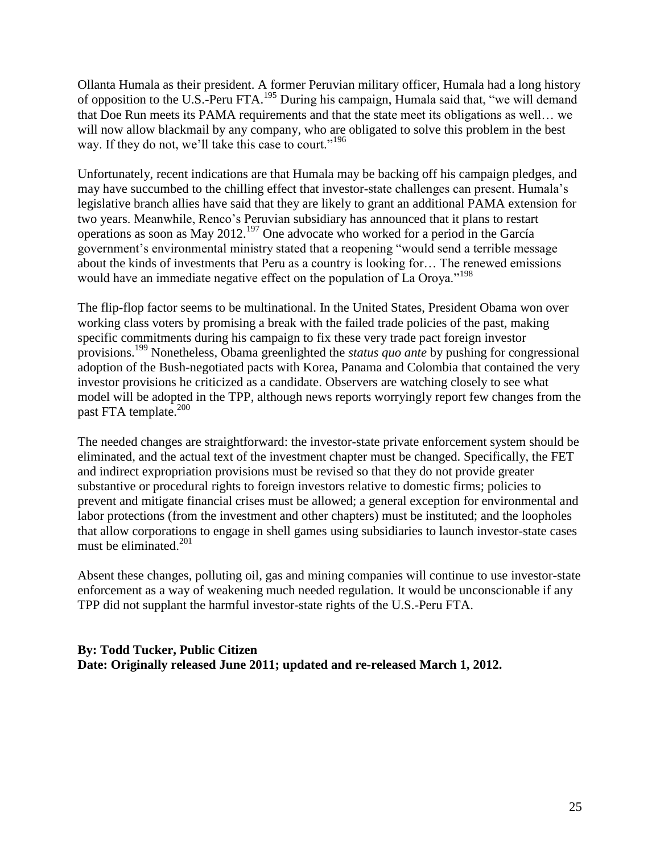Ollanta Humala as their president. A former Peruvian military officer, Humala had a long history of opposition to the U.S.-Peru FTA.<sup>195</sup> During his campaign, Humala said that, "we will demand that Doe Run meets its PAMA requirements and that the state meet its obligations as well… we will now allow blackmail by any company, who are obligated to solve this problem in the best way. If they do not, we'll take this case to court."<sup>196</sup>

Unfortunately, recent indications are that Humala may be backing off his campaign pledges, and may have succumbed to the chilling effect that investor-state challenges can present. Humala's legislative branch allies have said that they are likely to grant an additional PAMA extension for two years. Meanwhile, Renco's Peruvian subsidiary has announced that it plans to restart operations as soon as May 2012.<sup>197</sup> One advocate who worked for a period in the García government's environmental ministry stated that a reopening "would send a terrible message about the kinds of investments that Peru as a country is looking for… The renewed emissions would have an immediate negative effect on the population of La Oroya."<sup>198</sup>

The flip-flop factor seems to be multinational. In the United States, President Obama won over working class voters by promising a break with the failed trade policies of the past, making specific commitments during his campaign to fix these very trade pact foreign investor provisions. <sup>199</sup> Nonetheless, Obama greenlighted the *status quo ante* by pushing for congressional adoption of the Bush-negotiated pacts with Korea, Panama and Colombia that contained the very investor provisions he criticized as a candidate. Observers are watching closely to see what model will be adopted in the TPP, although news reports worryingly report few changes from the past FTA template. $200$ 

The needed changes are straightforward: the investor-state private enforcement system should be eliminated, and the actual text of the investment chapter must be changed. Specifically, the FET and indirect expropriation provisions must be revised so that they do not provide greater substantive or procedural rights to foreign investors relative to domestic firms; policies to prevent and mitigate financial crises must be allowed; a general exception for environmental and labor protections (from the investment and other chapters) must be instituted; and the loopholes that allow corporations to engage in shell games using subsidiaries to launch investor-state cases must be eliminated. $201$ 

Absent these changes, polluting oil, gas and mining companies will continue to use investor-state enforcement as a way of weakening much needed regulation. It would be unconscionable if any TPP did not supplant the harmful investor-state rights of the U.S.-Peru FTA.

## **By: Todd Tucker, Public Citizen Date: Originally released June 2011; updated and re-released March 1, 2012.**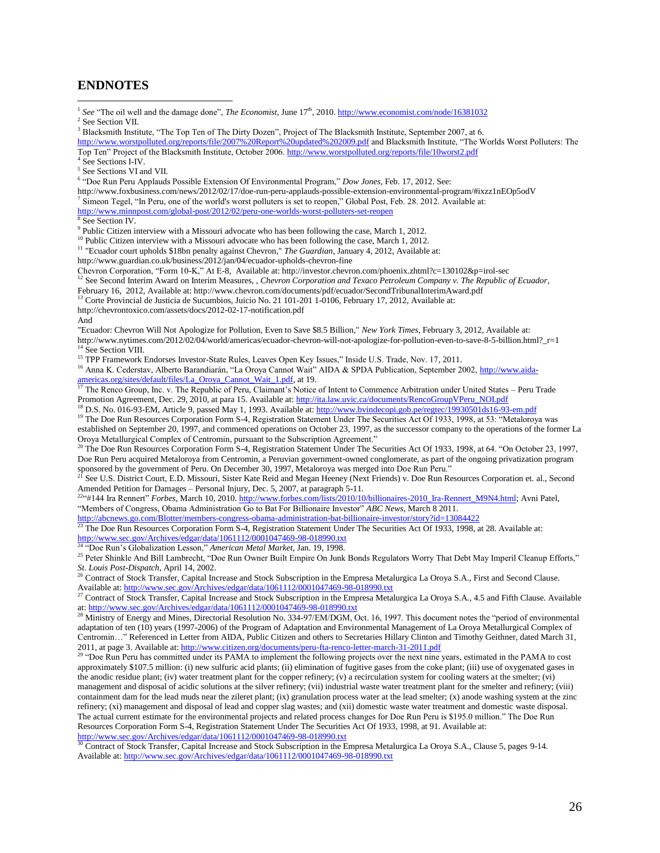#### **ENDNOTES**

<sup>1</sup> See "The oil well and the damage done", *The Economist*, June 17<sup>th</sup>, 2010[. http://www.economist.com/node/16381032](http://www.economist.com/node/16381032)

 $\overline{a}$ 

<sup>3</sup> Blacksmith Institute, "The Top Ten of The Dirty Dozen", Project of The Blacksmith Institute, September 2007, at 6.

<http://www.worstpolluted.org/reports/file/2007%20Report%20updated%202009.pdf> and Blacksmith Institute, "The Worlds Worst Polluters: The Top Ten" Project of the Blacksmith Institute, October 2006[. http://www.worstpolluted.org/reports/file/10worst2.pdf](http://www.worstpolluted.org/reports/file/10worst2.pdf)

4 See Sections I-IV.

5 See Sections VI and VII.

6 "Doe Run Peru Applauds Possible Extension Of Environmental Program," *Dow Jones,* Feb. 17, 2012. See:

http://www.foxbusiness.com/news/2012/02/17/doe-run-peru-applauds-possible-extension-environmental-program/#ixzz1nEOp5odV

<sup>7</sup> Simeon Tegel, "In Peru, one of the world's worst polluters is set to reopen," Global Post, Feb. 28. 2012. Available at:

<http://www.minnpost.com/global-post/2012/02/peru-one-worlds-worst-polluters-set-reopen>

8 See Section IV.

 $9$  Public Citizen interview with a Missouri advocate who has been following the case, March 1, 2012.

<sup>10</sup> Public Citizen interview with a Missouri advocate who has been following the case, March 1, 2012.

<sup>11</sup> "Ecuador court upholds \$18bn penalty against Chevron," *The Guardian*, January 4, 2012, Available at:

http://www.guardian.co.uk/business/2012/jan/04/ecuador-upholds-chevron-fine

Chevron Corporation, "Form 10-K," At E-8, Available at: http://investor.chevron.com/phoenix.zhtml?c=130102&p=irol-sec <sup>12</sup> See Second Interim Award on Interim Measures, , *Chevron Corporation and Texaco Petroleum Company v. The Republic of Ecuador*,

February 16, 2012, Available at: http://www.chevron.com/documents/pdf/ecuador/SecondTribunalInterimAward.pdf

<sup>13</sup> Corte Provincial de Justicia de Sucumbios, Juicio No. 21 101-201 1-0106, February 17, 2012, Available at:

http://chevrontoxico.com/assets/docs/2012-02-17-notification.pdf

And

"Ecuador: Chevron Will Not Apologize for Pollution, Even to Save \$8.5 Billion," *New York Times*, February 3, 2012, Available at:

http://www.nytimes.com/2012/02/04/world/americas/ecuador-chevron-will-not-apologize-for-pollution-even-to-save-8-5-billion.html?\_r=1 <sup>1</sup> See Section VIII.

<sup>15</sup> TPP Framework Endorses Investor-State Rules, Leaves Open Key Issues," Inside U.S. Trade, Nov. 17, 2011.

<sup>16</sup> Anna K. Cederstav, Alberto Barandiarán, "La Oroya Cannot Wait" AIDA & SPDA Publication, September 2002, [http://www.aida](http://www.aida-americas.org/sites/default/files/La_Oroya_Cannot_Wait_1.pdf)[americas.org/sites/default/files/La\\_Oroya\\_Cannot\\_Wait\\_1.pdf,](http://www.aida-americas.org/sites/default/files/La_Oroya_Cannot_Wait_1.pdf) at 19.<br> $\frac{17}{17}$ The Renco Group Laction The  $\frac{17}{17}$ 

<sup>17</sup> The Renco Group, Inc. v. The Republic of Peru, Claimant's Notice of Intent to Commence Arbitration under United States – Peru Trade Promotion Agreement, Dec. 29, 2010, at para 15. Available at: [http://ita.law.uvic.ca/documents/RencoGroupVPeru\\_NOI.pdf](http://ita.law.uvic.ca/documents/RencoGroupVPeru_NOI.pdf)

<sup>18</sup> D.S. No. 016-93-EM, Article 9, passed May 1, 1993. Available at[: http://www.bvindecopi.gob.pe/regtec/19930501ds16-93-em.pdf](http://www.bvindecopi.gob.pe/regtec/19930501ds16-93-em.pdf)

<sup>19</sup> The Doe Run Resources Corporation Form S-4, Registration Statement Under The Securities Act Of 1933, 1998, at 53: "Metaloroya was established on September 20, 1997, and commenced operations on October 23, 1997, as the successor company to the operations of the former La Oroya Metallurgical Complex of Centromin, pursuant to the Subscription Agreement."

<sup>20</sup> The Doe Run Resources Corporation Form S-4, Registration Statement Under The Securities Act Of 1933, 1998, at 64. "On October 23, 1997, Doe Run Peru acquired Metaloroya from Centromin, a Peruvian government-owned conglomerate, as part of the ongoing privatization program sponsored by the government of Peru. On December 30, 1997, Metaloroya was merged into Doe Run Peru."<br><sup>21</sup> See LLS, District Grun D. D. 21.

<sup>21</sup> See U.S. District Court, E.D. Missouri, Sister Kate Reid and Megan Heeney (Next Friends) v. Doe Run Resources Corporation et. al., Second Amended Petition for Damages – Personal Injury, Dec. 5, 2007, at paragraph 5-11.

<sup>22</sup>"#144 Ira Rennert" *Forbes,* March 10, 2010. [http://www.forbes.com/lists/2010/10/billionaires-2010\\_Ira-Rennert\\_M9N4.html;](http://www.forbes.com/lists/2010/10/billionaires-2010_Ira-Rennert_M9N4.html) Avni Patel, "Members of Congress, Obama Administration Go to Bat For Billionaire Investor" *ABC News,* March 8 2011.

<http://abcnews.go.com/Blotter/members-congress-obama-administration-bat-billionaire-investor/story?id=13084422>

<sup>23</sup> The Doe Run Resources Corporation Form S-4, Registration Statement Under The Securities Act Of 1933, 1998, at 28. Available at: <http://www.sec.gov/Archives/edgar/data/1061112/0001047469-98-018990.txt>

<sup>24</sup> "Doe Run's Globalization Lesson," *American Metal Market,* Jan. 19, 1998.

<sup>25</sup> Peter Shinkle And Bill Lambrecht, "Doe Run Owner Built Empire On Junk Bonds Regulators Worry That Debt May Imperil Cleanup Efforts," *St. Louis Post-Dispatch*, April 14, 2002.

<sup>26</sup> Contract of Stock Transfer, Capital Increase and Stock Subscription in the Empresa Metalurgica La Oroya S.A., First and Second Clause. Available at[: http://www.sec.gov/Archives/edgar/data/1061112/0001047469-98-018990.txt](http://www.sec.gov/Archives/edgar/data/1061112/0001047469-98-018990.txt)

<sup>27</sup> Contract of Stock Transfer, Capital Increase and Stock Subscription in the Empresa Metalurgica La Oroya S.A., 4.5 and Fifth Clause. Available at[: http://www.sec.gov/Archives/edgar/data/1061112/0001047469-98-018990.txt](http://www.sec.gov/Archives/edgar/data/1061112/0001047469-98-018990.txt)

<sup>28</sup> Ministry of Energy and Mines, Directorial Resolution No. 334-97/EM/DGM, Oct. 16, 1997. This document notes the "period of environmental adaptation of ten (10) years (1997-2006) of the Program of Adaptation and Environmental Management of La Oroya Metallurgical Complex of Centromin…" Referenced in Letter from AIDA, Public Citizen and others to Secretaries Hillary Clinton and Timothy Geithner, dated March 31, 2011, at page 3. Available at[: http://www.citizen.org/documents/peru-fta-renco-letter-march-31-2011.pdf](http://www.citizen.org/documents/peru-fta-renco-letter-march-31-2011.pdf)

<sup>29</sup> "Doe Run Peru has committed under its PAMA to implement the following projects over the next nine years, estimated in the PAMA to cost approximately \$107.5 million: (i) new sulfuric acid plants; (ii) elimination of fugitive gases from the coke plant; (iii) use of oxygenated gases in the anodic residue plant; (iv) water treatment plant for the copper refinery; (v) a recirculation system for cooling waters at the smelter; (vi) management and disposal of acidic solutions at the silver refinery; (vii) industrial waste water treatment plant for the smelter and refinery; (viii) containment dam for the lead muds near the zileret plant; (ix) granulation process water at the lead smelter; (x) anode washing system at the zinc refinery; (xi) management and disposal of lead and copper slag wastes; and (xii) domestic waste water treatment and domestic waste disposal. The actual current estimate for the environmental projects and related process changes for Doe Run Peru is \$195.0 million." The Doe Run Resources Corporation Form S-4, Registration Statement Under The Securities Act Of 1933, 1998, at 91. Available at: <http://www.sec.gov/Archives/edgar/data/1061112/0001047469-98-018990.txt>

<sup>30</sup> Contract of Stock Transfer, Capital Increase and Stock Subscription in the Empresa Metalurgica La Oroya S.A., Clause 5, pages 9-14. Available at[: http://www.sec.gov/Archives/edgar/data/1061112/0001047469-98-018990.txt](http://www.sec.gov/Archives/edgar/data/1061112/0001047469-98-018990.txt)

<sup>&</sup>lt;sup>2</sup> See Section VII.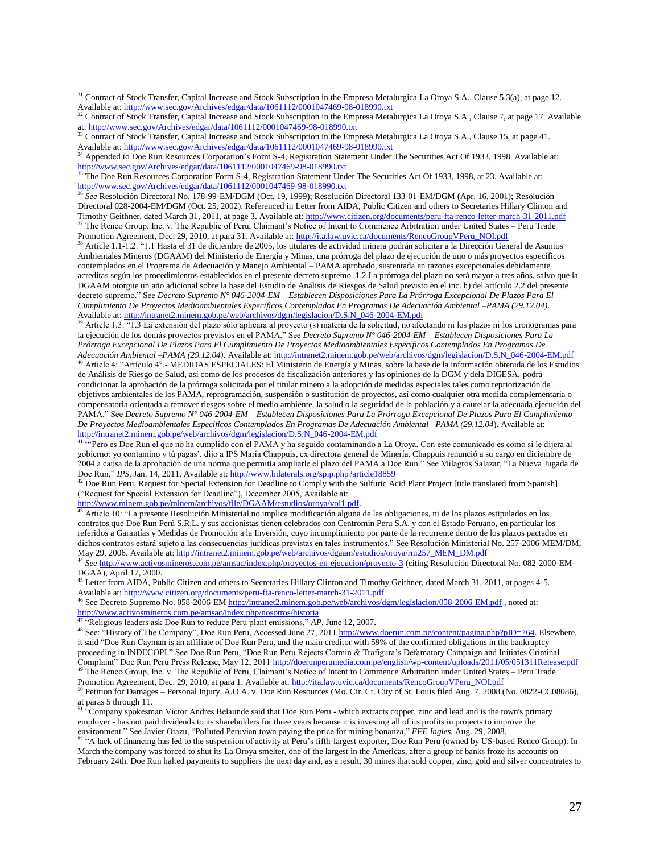<sup>31</sup> Contract of Stock Transfer, Capital Increase and Stock Subscription in the Empresa Metalurgica La Oroya S.A., Clause 5.3(a), at page 12. Available at[: http://www.sec.gov/Archives/edgar/data/1061112/0001047469-98-018990.txt](http://www.sec.gov/Archives/edgar/data/1061112/0001047469-98-018990.txt)

<sup>33</sup> Contract of Stock Transfer, Capital Increase and Stock Subscription in the Empresa Metalurgica La Oroya S.A., Clause 15, at page 41. Available at[: http://www.sec.gov/Archives/edgar/data/1061112/0001047469-98-018990.txt](http://www.sec.gov/Archives/edgar/data/1061112/0001047469-98-018990.txt)

<sup>34</sup> Appended to Doe Run Resources Corporation's Form S-4, Registration Statement Under The Securities Act Of 1933, 1998. Available at: <http://www.sec.gov/Archives/edgar/data/1061112/0001047469-98-018990.txt>

<sup>35</sup> The Doe Run Resources Corporation Form S-4, Registration Statement Under The Securities Act Of 1933, 1998, at 23. Available at: <http://www.sec.gov/Archives/edgar/data/1061112/0001047469-98-018990.txt>

<sup>36</sup> *See* Resolución Directoral No. 178-99-EM/DGM (Oct. 19, 1999); Resolución Directoral 133-01-EM/DGM (Apr. 16, 2001); Resolución Directoral 028-2004-EM/DGM (Oct. 25, 2002). Referenced in Letter from AIDA, Public Citizen and others to Secretaries Hillary Clinton and Timothy Geithner, dated March 31, 2011, at page 3. Available at[: http://www.citizen.org/documents/peru-fta-renco-letter-march-31-2011.pdf](http://www.citizen.org/documents/peru-fta-renco-letter-march-31-2011.pdf) <sup>37</sup> The Renco Group, Inc. v. The Republic of Peru, Claimant's Notice of Intent to Commence Arbitration under United States – Peru Trade

Promotion Agreement, Dec. 29, 2010, at para 31. Available at: [http://ita.law.uvic.ca/documents/RencoGroupVPeru\\_NOI.pdf](http://ita.law.uvic.ca/documents/RencoGroupVPeru_NOI.pdf)

<sup>38</sup> Article 1.1-1.2: "1.1 Hasta el 31 de diciembre de 2005, los titulares de actividad minera podrán solicitar a la Dirección General de Asuntos Ambientales Mineros (DGAAM) del Ministerio de Energía y Minas, una prórroga del plazo de ejecución de uno o más proyectos específicos contemplados en el Programa de Adecuación y Manejo Ambiental – PAMA aprobado, sustentada en razones excepcionales debidamente acreditas según los procedimientos establecidos en el presente decreto supremo. 1.2 La prórroga del plazo no será mayor a tres años, salvo que la DGAAM otorgue un año adicional sobre la base del Estudio de Análisis de Riesgos de Salud previsto en el inc. h) del artículo 2.2 del presente decreto supremo." See *Decreto Supremo N° 046-2004-EM – Establecen Disposiciones Para La Prórroga Excepcional De Plazos Para El Cumplimiento De Proyectos Medioambientales Específicos Contemplados En Programas De Adecuación Ambiental –PAMA (29.12.04)*. Available at[: http://intranet2.minem.gob.pe/web/archivos/dgm/legislacion/D.S.N\\_046-2004-EM.pdf](http://intranet2.minem.gob.pe/web/archivos/dgm/legislacion/D.S.N_046-2004-EM.pdf)

<sup>39</sup> Article 1.3: "1.3 La extensión del plazo sólo aplicará al proyecto (s) materia de la solicitud, no afectando ni los plazos ni los cronogramas para la ejecución de los demás proyectos previstos en el PAMA." See *Decreto Supremo N° 046-2004-EM – Establecen Disposiciones Para La Prórroga Excepcional De Plazos Para El Cumplimiento De Proyectos Medioambientales Específicos Contemplados En Programas De Adecuación Ambiental –PAMA (29.12.04)*. Available at[: http://intranet2.minem.gob.pe/web/archivos/dgm/legislacion/D.S.N\\_046-2004-EM.pdf](http://intranet2.minem.gob.pe/web/archivos/dgm/legislacion/D.S.N_046-2004-EM.pdf)

<sup>40</sup> Article 4: "Artículo 4°.- MEDIDAS ESPECIALES: El Ministerio de Energía y Minas, sobre la base de la información obtenida de los Estudios de Análisis de Riesgo de Salud, así como de los procesos de fiscalización anteriores y las opiniones de la DGM y dela DIGESA, podrá condicionar la aprobación de la prórroga solicitada por el titular minero a la adopción de medidas especiales tales como repriorización de objetivos ambientales de los PAMA, reprogramación, suspensión o sustitución de proyectos, así como cualquier otra medida complementaria o compensatoria orientada a remover riesgos sobre el medio ambiente, la salud o la seguridad de la población y a cautelar la adecuada ejecución del PAMA." See *Decreto Supremo N° 046-2004-EM – Establecen Disposiciones Para La Prórroga Excepcional De Plazos Para El Cumplimiento De Proyectos Medioambientales Específicos Contemplados En Programas De Adecuación Ambiental –PAMA (29.12.04*). Available at: [http://intranet2.minem.gob.pe/web/archivos/dgm/legislacion/D.S.N\\_046-2004-EM.pdf](http://intranet2.minem.gob.pe/web/archivos/dgm/legislacion/D.S.N_046-2004-EM.pdf)

<sup>41 "</sup>"Pero es Doe Run el que no ha cumplido con el PAMA y ha seguido contaminando a La Oroya. Con este comunicado es como si le dijera al gobierno: yo contamino y tú pagas', dijo a IPS María Chappuis, ex directora general de Minería. Chappuis renunció a su cargo en diciembre de 2004 a causa de la aprobación de una norma que permitía ampliarle el plazo del PAMA a Doe Run." See Milagros Salazar, "La Nueva Jugada de Doe Run," IPS, Jan. 14, 2011. Available at[: http://www.bilaterals.org/spip.php?article18859](http://www.bilaterals.org/spip.php?article18859)

 $42$  Doe Run Peru, Request for Special Extension for Deadline to Comply with the Sulfuric Acid Plant Project [title translated from Spanish] ("Request for Special Extension for Deadline"), December 2005, Available at:

[http://www.minem.gob.pe/minem/archivos/file/DGAAM/estudios/oroya/vol1.pdf.](http://www.minem.gob.pe/minem/archivos/file/DGAAM/estudios/oroya/vol1.pdf) 

 $\overline{a}$ 

<sup>43</sup> Article 10: "La presente Resolución Ministerial no implica modificación alguna de las obligaciones, ni de los plazos estipulados en los contratos que Doe Run Perú S.R.L. y sus accionistas tienen celebrados con Centromin Peru S.A. y con el Estado Peruano, en particular los referidos a Garantías y Medidas de Promoción a la Inversión, cuyo incumplimiento por parte de la recurrente dentro de los plazos pactados en dichos contratos estará sujeto a las consecuencias jurídicas previstas en tales instrumentos." See Resolución Ministerial No. 257-2006-MEM/DM, May 29, 2006. Available at: [http://intranet2.minem.gob.pe/web/archivos/dgaam/estudios/oroya/rm257\\_MEM\\_DM.pdf](http://intranet2.minem.gob.pe/web/archivos/dgaam/estudios/oroya/rm257_MEM_DM.pdf)

<sup>44</sup> *See* <http://www.activosmineros.com.pe/amsac/index.php/proyectos-en-ejecucion/proyecto-3> (citing Resolución Directoral No. 082-2000-EM-DGAA), April 17, 2000.

<sup>45</sup> Letter from AIDA, Public Citizen and others to Secretaries Hillary Clinton and Timothy Geithner, dated March 31, 2011, at pages 4-5. Available at[: http://www.citizen.org/documents/peru-fta-renco-letter-march-31-2011.pdf](http://www.citizen.org/documents/peru-fta-renco-letter-march-31-2011.pdf)

See Decreto Supremo No. 058-2006-EM<http://intranet2.minem.gob.pe/web/archivos/dgm/legislacion/058-2006-EM.pdf>, noted at: <http://www.activosmineros.com.pe/amsac/index.php/nosotros/historia><br><sup>47</sup> "Deligious leaders ack Dos Pun to reduce Puncula

<sup>47</sup> "Religious leaders ask Doe Run to reduce Peru plant emissions," *AP,* June 12, 2007.

<sup>48</sup> See: "History of The Company", Doe Run Peru, Accessed June 27, 201[1 http://www.doerun.com.pe/content/pagina.php?pID=764.](http://www.doerun.com.pe/content/pagina.php?pID=764) Elsewhere, it said "Doe Run Cayman is an affiliate of Doe Run Peru, and the main creditor with 59% of the confirmed obligations in the bankruptcy proceeding in INDECOPI." See Doe Run Peru, "Doe Run Peru Rejects Cormin & Trafigura's Defamatory Campaign and Initiates Criminal Complaint" Doe Run Peru Press Release, May 12, 201[1 http://doerunperumedia.com.pe/english/wp-content/uploads/2011/05/051311Release.pdf](http://doerunperumedia.com.pe/english/wp-content/uploads/2011/05/051311Release.pdf) <sup>49</sup> The Renco Group, Inc. v. The Republic of Peru, Claimant's Notice of Intent to Commence Arbitration under United States – Peru Trade

Promotion Agreement, Dec. 29, 2010, at para 1. Available at: [http://ita.law.uvic.ca/documents/RencoGroupVPeru\\_NOI.pdf](http://ita.law.uvic.ca/documents/RencoGroupVPeru_NOI.pdf) <sup>50</sup> Petition for Damages – Personal Injury, A.O.A. v. Doe Run Resources (Mo. Cir. Ct. City of St. Louis filed Aug. 7, 2008 (No. 0822-CC08086), at paras 5 through 11.

51 "Company spokesman Victor Andres Belaunde said that Doe Run Peru - which extracts copper, zinc and lead and is the town's primary employer - has not paid dividends to its shareholders for three years because it is investing all of its profits in projects to improve the environment." See Javier Otazu, "Polluted Peruvian town paying the price for mining bonanza," *EFE Ingles,* Aug. 29, 2008.

<sup>52</sup> "A lack of financing has led to the suspension of activity at Peru's fifth-largest exporter, Doe Run Peru (owned by US-based Renco Group). In March the company was forced to shut its La Oroya smelter, one of the largest in the Americas, after a group of banks froze its accounts on February 24th. Doe Run halted payments to suppliers the next day and, as a result, 30 mines that sold copper, zinc, gold and silver concentrates to

<sup>&</sup>lt;sup>32</sup> Contract of Stock Transfer, Capital Increase and Stock Subscription in the Empresa Metalurgica La Oroya S.A., Clause 7, at page 17. Available at[: http://www.sec.gov/Archives/edgar/data/1061112/0001047469-98-018990.txt](http://www.sec.gov/Archives/edgar/data/1061112/0001047469-98-018990.txt)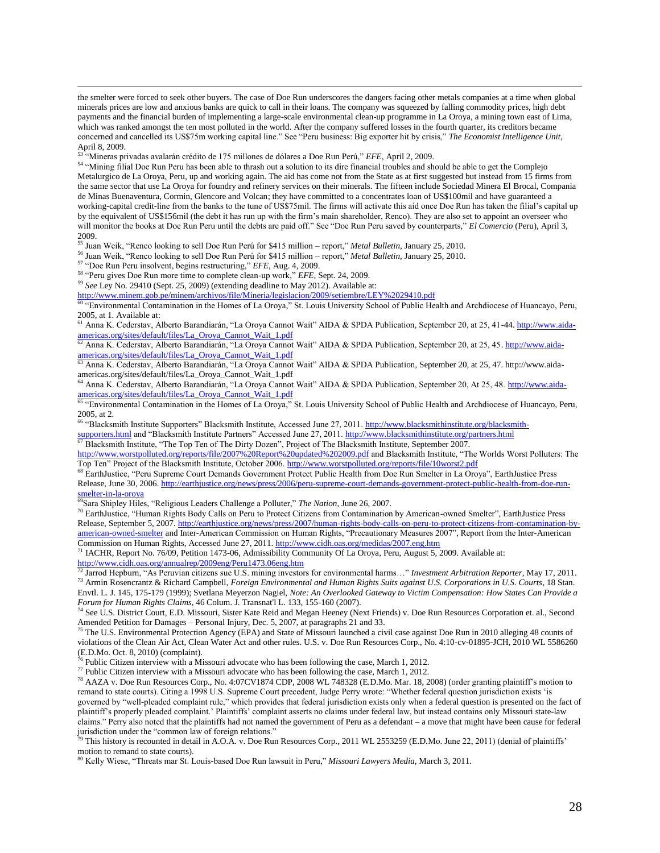the smelter were forced to seek other buyers. The case of Doe Run underscores the dangers facing other metals companies at a time when global minerals prices are low and anxious banks are quick to call in their loans. The company was squeezed by falling commodity prices, high debt payments and the financial burden of implementing a large-scale environmental clean-up programme in La Oroya, a mining town east of Lima, which was ranked amongst the ten most polluted in the world. After the company suffered losses in the fourth quarter, its creditors became concerned and cancelled its US\$75m working capital line." See "Peru business: Big exporter hit by crisis," *The Economist Intelligence Unit*, April 8, 2009.

<sup>53</sup> "Mineras privadas avalarán crédito de 175 millones de dólares a Doe Run Perú," *EFE,* April 2, 2009.

<sup>54</sup> "Mining filial Doe Run Peru has been able to thrash out a solution to its dire financial troubles and should be able to get the Complejo Metalurgico de La Oroya, Peru, up and working again. The aid has come not from the State as at first suggested but instead from 15 firms from the same sector that use La Oroya for foundry and refinery services on their minerals. The fifteen include Sociedad Minera El Brocal, Compania de Minas Buenaventura, Cormin, Glencore and Volcan; they have committed to a concentrates loan of US\$100mil and have guaranteed a working-capital credit-line from the banks to the tune of US\$75mil. The firms will activate this aid once Doe Run has taken the filial's capital up by the equivalent of US\$156mil (the debt it has run up with the firm's main shareholder, Renco). They are also set to appoint an overseer who will monitor the books at Doe Run Peru until the debts are paid off." See "Doe Run Peru saved by counterparts," *El Comercio* (Peru), April 3,  $2009.$ 

<sup>55</sup> Juan Weik, "Renco looking to sell Doe Run Perú for \$415 million – report," *Metal Bulletin,* January 25, 2010.

<sup>56</sup> Juan Weik, "Renco looking to sell Doe Run Perú for \$415 million – report," *Metal Bulletin,* January 25, 2010.

<sup>57</sup> "Doe Run Peru insolvent, begins restructuring," *EFE,* Aug. 4, 2009.

 $\overline{a}$ 

<sup>58</sup> "Peru gives Doe Run more time to complete clean-up work," *EFE,* Sept. 24, 2009.

<sup>59</sup> *See* Ley No. 29410 (Sept. 25, 2009) (extending deadline to May 2012). Available at:

<http://www.minem.gob.pe/minem/archivos/file/Mineria/legislacion/2009/setiembre/LEY%2029410.pdf>

<sup>60</sup> "Environmental Contamination in the Homes of La Oroya," St. Louis University School of Public Health and Archdiocese of Huancayo, Peru, 2005, at 1. Available at:

<sup>61</sup> Anna K. Cederstav, Alberto Barandiarán, "La Oroya Cannot Wait" AIDA & SPDA Publication, September 20, at 25, 41-44[. http://www.aida](http://www.aida-americas.org/sites/default/files/La_Oroya_Cannot_Wait_1.pdf)[americas.org/sites/default/files/La\\_Oroya\\_Cannot\\_Wait\\_1.pdf](http://www.aida-americas.org/sites/default/files/La_Oroya_Cannot_Wait_1.pdf)

<sup>62</sup> Anna K. Cederstav, Alberto Barandiarán, "La Oroya Cannot Wait" AIDA & SPDA Publication, September 20, at 25, 45[. http://www.aida](http://www.aida-americas.org/sites/default/files/La_Oroya_Cannot_Wait_1.pdf)[americas.org/sites/default/files/La\\_Oroya\\_Cannot\\_Wait\\_1.pdf](http://www.aida-americas.org/sites/default/files/La_Oroya_Cannot_Wait_1.pdf)

<sup>63</sup> Anna K. Cederstav, Alberto Barandiarán, "La Oroya Cannot Wait" AIDA & SPDA Publication, September 20, at 25, 47. http://www.aidaamericas.org/sites/default/files/La\_Oroya\_Cannot\_Wait\_1.pdf

<sup>64</sup> Anna K. Cederstav, Alberto Barandiarán, "La Oroya Cannot Wait" AIDA & SPDA Publication, September 20, At 25, 48. [http://www.aida](http://www.aida-americas.org/sites/default/files/La_Oroya_Cannot_Wait_1.pdf)[americas.org/sites/default/files/La\\_Oroya\\_Cannot\\_Wait\\_1.pdf](http://www.aida-americas.org/sites/default/files/La_Oroya_Cannot_Wait_1.pdf)

<sup>65</sup> "Environmental Contamination in the Homes of La Oroya," St. Louis University School of Public Health and Archdiocese of Huancayo, Peru, 2005, at 2.

<sup>66</sup> "Blacksmith Institute Supporters" Blacksmith Institute, Accessed June 27, 2011. [http://www.blacksmithinstitute.org/blacksmith](http://www.blacksmithinstitute.org/blacksmith-supporters.html)[supporters.html](http://www.blacksmithinstitute.org/blacksmith-supporters.html) and "Blacksmith Institute Partners" Accessed June 27, 2011[. http://www.blacksmithinstitute.org/partners.html](http://www.blacksmithinstitute.org/partners.html)

 $67$  Blacksmith Institute, "The Top Ten of The Dirty Dozen", Project of The Blacksmith Institute, September 2007.

<http://www.worstpolluted.org/reports/file/2007%20Report%20updated%202009.pdf> and Blacksmith Institute, "The Worlds Worst Polluters: The Top Ten" Project of the Blacksmith Institute, October 2006[. http://www.worstpolluted.org/reports/file/10worst2.pdf](http://www.worstpolluted.org/reports/file/10worst2.pdf)

<sup>68</sup> EarthJustice, "Peru Supreme Court Demands Government Protect Public Health from Doe Run Smelter in La Oroya", EarthJustice Press Release, June 30, 2006[. http://earthjustice.org/news/press/2006/peru-supreme-court-demands-government-protect-public-health-from-doe-run](http://earthjustice.org/news/press/2006/peru-supreme-court-demands-government-protect-public-health-from-doe-run-smelter-in-la-oroya)[smelter-in-la-oroya](http://earthjustice.org/news/press/2006/peru-supreme-court-demands-government-protect-public-health-from-doe-run-smelter-in-la-oroya)

<sup>69</sup>Sara Shipley Hiles, "Religious Leaders Challenge a Polluter," *The Nation*, June 26, 2007.

 $70$  EarthJustice, "Human Rights Body Calls on Peru to Protect Citizens from Contamination by American-owned Smelter", EarthJustice Press Release, September 5, 2007[. http://earthjustice.org/news/press/2007/human-rights-body-calls-on-peru-to-protect-citizens-from-contamination-by](http://earthjustice.org/news/press/2007/human-rights-body-calls-on-peru-to-protect-citizens-from-contamination-by-american-owned-smelter)[american-owned-smelter](http://earthjustice.org/news/press/2007/human-rights-body-calls-on-peru-to-protect-citizens-from-contamination-by-american-owned-smelter) and Inter-American Commission on Human Rights, "Precautionary Measures 2007", Report from the Inter-American Commission on Human Rights, Accessed June 27, 2011.<http://www.cidh.oas.org/medidas/2007.eng.htm>

<sup>71</sup> IACHR, Report No. 76/09, Petition 1473-06, Admissibility Community Of La Oroya, Peru, August 5, 2009. Available at:

<http://www.cidh.oas.org/annualrep/2009eng/Peru1473.06eng.htm>

<sup>72</sup> Jarrod Hepburn, "As Peruvian citizens sue U.S. mining investors for environmental harms…" *Investment Arbitration Reporter,* May 17, 2011. <sup>73</sup> Armin Rosencrantz & Richard Campbell, *Foreign Environmental and Human Rights Suits against U.S. Corporations in U.S. Courts*, 18 Stan. Envtl. L. J. 145, 175-179 (1999); Svetlana Meyerzon Nagiel, *Note: An Overlooked Gateway to Victim Compensation: How States Can Provide a Forum for Human Rights Claims*, 46 Colum. J. Transnat'l L. 133, 155-160 (2007).

<sup>74</sup> See U.S. District Court, E.D. Missouri, Sister Kate Reid and Megan Heeney (Next Friends) v. Doe Run Resources Corporation et. al., Second Amended Petition for Damages – Personal Injury, Dec. 5, 2007, at paragraphs 21 and 33.

<sup>75</sup> The U.S. Environmental Protection Agency (EPA) and State of Missouri launched a civil case against Doe Run in 2010 alleging 48 counts of violations of the Clean Air Act, Clean Water Act and other rules. U.S. v. Doe Run Resources Corp., No. 4:10-cv-01895-JCH, 2010 WL 5586260 (E.D.Mo. Oct. 8, 2010) (complaint).

 $76$  Public Citizen interview with a Missouri advocate who has been following the case, March 1, 2012.

 $\frac{77}{2}$  Public Citizen interview with a Missouri advocate who has been following the case, March 1, 2012.

<sup>78</sup> AAZA v. Doe Run Resources Corp., No. 4:07CV1874 CDP, 2008 WL 748328 (E.D.Mo. Mar. 18, 2008) (order granting plaintiff's motion to remand to state courts). Citing a 1998 U.S. Supreme Court precedent, Judge Perry wrote: "Whether federal question jurisdiction exists 'is governed by "well-pleaded complaint rule," which provides that federal jurisdiction exists only when a federal question is presented on the fact of plaintiff's properly pleaded complaint.' Plaintiffs' complaint asserts no claims under federal law, but instead contains only Missouri state-law claims." Perry also noted that the plaintiffs had not named the government of Peru as a defendant – a move that might have been cause for federal jurisdiction under the "common law of foreign relations."

This history is recounted in detail in A.O.A. v. Doe Run Resources Corp., 2011 WL 2553259 (E.D.Mo. June 22, 2011) (denial of plaintiffs' motion to remand to state courts).

<sup>80</sup> Kelly Wiese, "Threats mar St. Louis-based Doe Run lawsuit in Peru," *Missouri Lawyers Media,* March 3, 2011.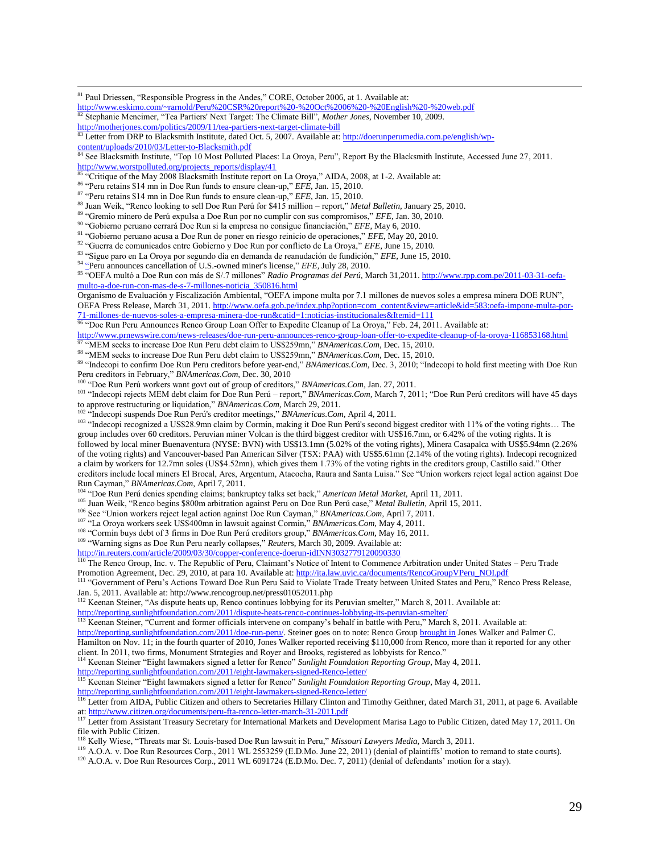<sup>81</sup> Paul Driessen, "Responsible Progress in the Andes," CORE, October 2006, at 1. Available at:

<http://motherjones.com/politics/2009/11/tea-partiers-next-target-climate-bill>

```
: http://doerunperumedia.com.pe/english/wp-
```
 $\overline{a}$ 

<sup>84</sup> See Blacksmith Institute, "Top 10 Most Polluted Places: La Oroya, Peru", Report By the Blacksmith Institute, Accessed June 27, 2011. [http://www.worstpolluted.org/projects\\_reports/display/41](http://www.worstpolluted.org/projects_reports/display/41)

<sup>85</sup> "Critique of the May 2008 Blacksmith Institute report on La Oroya," AIDA, 2008, at 1-2. Available at:

<sup>86</sup> "Peru retains \$14 mn in Doe Run funds to ensure clean-up," *EFE,* Jan. 15, 2010.

<sup>87</sup> "Peru retains \$14 mn in Doe Run funds to ensure clean-up," *EFE,* Jan. 15, 2010.

<sup>88</sup> Juan Weik, "Renco looking to sell Doe Run Perú for \$415 million – report," *Metal Bulletin,* January 25, 2010.

<sup>89</sup> "Gremio minero de Perú expulsa a Doe Run por no cumplir con sus compromisos," *EFE,* Jan. 30, 2010.

<sup>90</sup> "Gobierno peruano cerrará Doe Run si la empresa no consigue financiación," *EFE*, May 6, 2010.

<sup>91</sup> "Gobierno peruano acusa a Doe Run de poner en riesgo reinicio de operaciones," *EFE,* May 20, 2010.

<sup>92</sup> "Guerra de comunicados entre Gobierno y Doe Run por conflicto de La Oroya," *EFE*, June 15, 2010.

<sup>93</sup> "Sigue paro en La Oroya por segundo día en demanda de reanudación de fundición," *EFE,* June 15, 2010.

<sup>94</sup> ["Peru announces cancellation of U.S.-owned miner's license,](http://ipsnews.net/news.asp?idnews=52311)" *EFE*, July 28, 2010.

<sup>95</sup> "OEFA multó a Doe Run con más de S/.7 millones" *Radio Programas del Perú*, March 31,2011[. http://www.rpp.com.pe/2011-03-31-oefa](http://www.rpp.com.pe/2011-03-31-oefa-multo-a-doe-run-con-mas-de-s-7-millones-noticia_350816.html)[multo-a-doe-run-con-mas-de-s-7-millones-noticia\\_350816.html](http://www.rpp.com.pe/2011-03-31-oefa-multo-a-doe-run-con-mas-de-s-7-millones-noticia_350816.html)

Organismo de Evaluación y Fiscalización Ambiental, "OEFA impone multa por 7.1 millones de nuevos soles a empresa minera DOE RUN",

OEFA Press Release, March 31, 2011[. http://www.oefa.gob.pe/index.php?option=com\\_content&view=article&id=583:oefa-impone-multa-por-](http://www.oefa.gob.pe/index.php?option=com_content&view=article&id=583:oefa-impone-multa-por-71-millones-de-nuevos-soles-a-empresa-minera-doe-run&catid=1:noticias-institucionales&Itemid=111)[71-millones-de-nuevos-soles-a-empresa-minera-doe-run&catid=1:noticias-institucionales&Itemid=111](http://www.oefa.gob.pe/index.php?option=com_content&view=article&id=583:oefa-impone-multa-por-71-millones-de-nuevos-soles-a-empresa-minera-doe-run&catid=1:noticias-institucionales&Itemid=111)

<sup>96</sup> "Doe Run Peru Announces Renco Group Loan Offer to Expedite Cleanup of La Oroya," Feb. 24, 2011. Available at:

<http://www.prnewswire.com/news-releases/doe-run-peru-announces-renco-group-loan-offer-to-expedite-cleanup-of-la-oroya-116853168.html> <sup>97</sup> "MEM seeks to increase Doe Run Peru debt claim to US\$259mn," *BNAmericas.Com,* Dec. 15, 2010.

<sup>98</sup> "MEM seeks to increase Doe Run Peru debt claim to US\$259mn," *BNAmericas.Com,* Dec. 15, 2010.

<sup>99</sup> "Indecopi to confirm Doe Run Peru creditors before year-end," *BNAmericas.Com,* Dec. 3, 2010; "Indecopi to hold first meeting with Doe Run Peru creditors in February," *BNAmericas.Com,* Dec. 30, 2010

<sup>100</sup> "Doe Run Perú workers want govt out of group of creditors," *BNAmericas.Com,* Jan. 27, 2011.

<sup>101</sup> "Indecopi rejects MEM debt claim for Doe Run Perú – report," *BNAmericas.Com,* March 7, 2011; "Doe Run Perú creditors will have 45 days to approve restructuring or liquidation," *BNAmericas.Com,* March 29, 2011.

<sup>102</sup> "Indecopi suspends Doe Run Perú's creditor meetings," *BNAmericas.Com*, April 4, 2011.

<sup>103</sup> "Indecopi recognized a US\$28.9mn claim by Cormin, making it Doe Run Perú's second biggest creditor with 11% of the voting rights... The group includes over 60 creditors. Peruvian miner Volcan is the third biggest creditor with US\$16.7mn, or 6.42% of the voting rights. It is followed by local miner Buenaventura (NYSE: BVN) with US\$13.1mn (5.02% of the voting rights), Minera Casapalca with US\$5.94mn (2.26% of the voting rights) and Vancouver-based Pan American Silver (TSX: PAA) with US\$5.61mn (2.14% of the voting rights). Indecopi recognized a claim by workers for 12.7mn soles (US\$4.52mn), which gives them 1.73% of the voting rights in the creditors group, Castillo said." Other creditors include local miners El Brocal, Ares, Argentum, Atacocha, Raura and Santa Luisa." See "Union workers reject legal action against Doe Run Cayman," *BNAmericas.Com,* April 7, 2011.

<sup>104</sup> "Doe Run Perú denies spending claims; bankruptcy talks set back," *American Metal Market,* April 11, 2011.

<sup>105</sup> Juan Weik, "Renco begins \$800m arbitration against Peru on Doe Run Perú case," *Metal Bulletin,* April 15, 2011.

<sup>106</sup> See "Union workers reject legal action against Doe Run Cayman," *BNAmericas.Com*, April 7, 2011.

<sup>107</sup> "La Oroya workers seek US\$400mn in lawsuit against Cormin," *BNAmericas.Com,* May 4, 2011.

<sup>108</sup> "Cormin buys debt of 3 firms in Doe Run Perú creditors group," *BNAmericas.Com,* May 16, 2011.

<sup>109</sup> "Warning signs as Doe Run Peru nearly collapses," *Reuters,* March 30, 2009. Available at:

<http://in.reuters.com/article/2009/03/30/copper-conference-doerun-idINN3032779120090330>

<sup>110</sup> The Renco Group, Inc. v. The Republic of Peru, Claimant's Notice of Intent to Commence Arbitration under United States – Peru Trade Promotion Agreement, Dec. 29, 2010, at para 10. Available at: [http://ita.law.uvic.ca/documents/RencoGroupVPeru\\_NOI.pdf](http://ita.law.uvic.ca/documents/RencoGroupVPeru_NOI.pdf)

<sup>111</sup> "Government of Peru's Actions Toward Doe Run Peru Said to Violate Trade Treaty between United States and Peru," Renco Press Release, Jan. 5, 2011. Available at: http://www.rencogroup.net/press01052011.php

112 Keenan Steiner, "As dispute heats up, Renco continues lobbying for its Peruvian smelter," March 8, 2011. Available at:

<http://reporting.sunlightfoundation.com/2011/dispute-heats-renco-continues-lobbying-its-peruvian-smelter/>

<sup>113</sup> Keenan Steiner, "Current and former officials intervene on company's behalf in battle with Peru," March 8, 2011. Available at:

[http://reporting.sunlightfoundation.com/2011/doe-run-peru/.](http://reporting.sunlightfoundation.com/2011/doe-run-peru/) Steiner goes on to note: Renco Grou[p brought in](http://reporting.sunlightfoundation.com/lobbying/firm/jones-walker-et-al/4C2873BD-E614-4207-8392-4A3D8E3374AB) Jones Walker and Palmer C.

Hamilton on Nov. 11; in the fourth quarter of 2010, Jones Walker reported receiving \$110,000 from Renco, more than it reported for any other client. In 2011, two firms, Monument Strategies and Royer and Brooks, registered as lobbyists for Renco."

<sup>114</sup> Keenan Steiner "Eight lawmakers signed a letter for Renco" *Sunlight Foundation Reporting Group*, May 4, 2011.

<http://reporting.sunlightfoundation.com/2011/eight-lawmakers-signed-Renco-letter/>

<sup>115</sup> Keenan Steiner "Eight lawmakers signed a letter for Renco" *Sunlight Foundation Reporting Group*, May 4, 2011.

<http://reporting.sunlightfoundation.com/2011/eight-lawmakers-signed-Renco-letter/>

<sup>116</sup> Letter from AIDA, Public Citizen and others to Secretaries Hillary Clinton and Timothy Geithner, dated March 31, 2011, at page 6. Available at[: http://www.citizen.org/documents/peru-fta-renco-letter-march-31-2011.pdf](http://www.citizen.org/documents/peru-fta-renco-letter-march-31-2011.pdf)

<sup>117</sup> Letter from Assistant Treasury Secretary for International Markets and Development Marisa Lago to Public Citizen, dated May 17, 2011. On file with Public Citizen.

<sup>118</sup> Kelly Wiese, "Threats mar St. Louis-based Doe Run lawsuit in Peru," *Missouri Lawyers Media,* March 3, 2011.

<sup>120</sup> A.O.A. v. Doe Run Resources Corp., 2011 WL 6091724 (E.D.Mo. Dec. 7, 2011) (denial of defendants' motion for a stay).

<http://www.eskimo.com/~rarnold/Peru%20CSR%20report%20-%20Oct%2006%20-%20English%20-%20web.pdf> <sup>82</sup> Stephanie Mencimer, "Tea Partiers' Next Target: The Climate Bill", *Mother Jones,* November 10, 2009.

[content/uploads/2010/03/Letter-to-Blacksmith.pdf](http://doerunperumedia.com.pe/english/wp-content/uploads/2010/03/Letter-to-Blacksmith.pdf)

<sup>119</sup> A.O.A. v. Doe Run Resources Corp., 2011 WL 2553259 (E.D.Mo. June 22, 2011) (denial of plaintiffs' motion to remand to state courts).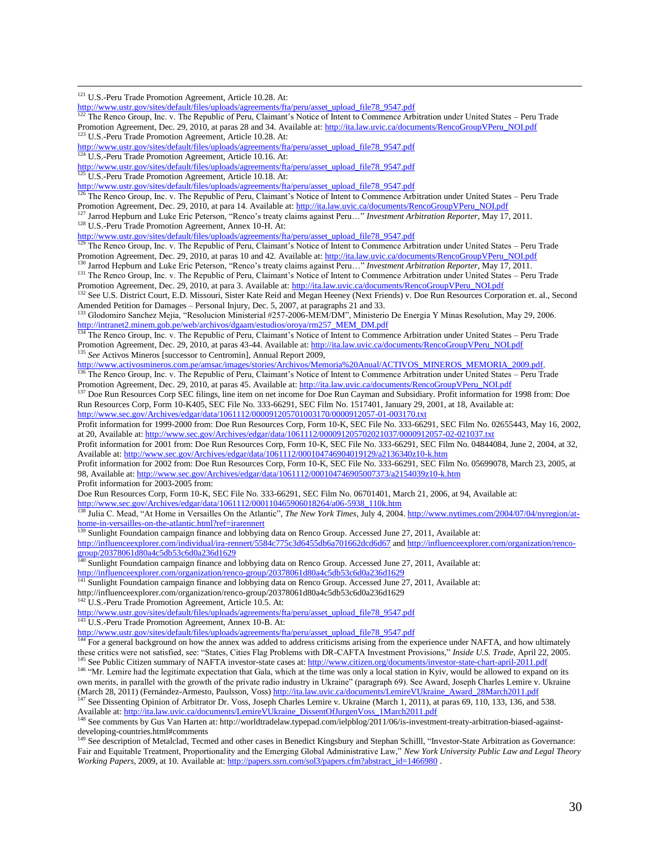<sup>121</sup> U.S.-Peru Trade Promotion Agreement, Article 10.28. At:

 $\overline{a}$ 

```
http://www.ustr.gov/sites/default/files/uploads/agreements/fta/peru/asset_upload_file78_9547.pdf
```
<sup>122</sup> The Renco Group, Inc. v. The Republic of Peru, Claimant's Notice of Intent to Commence Arbitration under United States – Peru Trade Promotion Agreement, Dec. 29, 2010, at paras 28 and 34. Available at: http://ita.law.uvic.ca/documents/RencoGroupVPeru\_NOLpdf <sup>123</sup> U.S.-Peru Trade Promotion Agreement, Article 10.28. At:

[http://www.ustr.gov/sites/default/files/uploads/agreements/fta/peru/asset\\_upload\\_file78\\_9547.pdf](http://www.ustr.gov/sites/default/files/uploads/agreements/fta/peru/asset_upload_file78_9547.pdf)

<sup>124</sup> U.S.-Peru Trade Promotion Agreement, Article 10.16. At:

[http://www.ustr.gov/sites/default/files/uploads/agreements/fta/peru/asset\\_upload\\_file78\\_9547.pdf](http://www.ustr.gov/sites/default/files/uploads/agreements/fta/peru/asset_upload_file78_9547.pdf)<br><sup>125</sup> U.S. Peru: T.

<sup>125</sup> U.S.-Peru Trade Promotion Agreement, Article 10.18. At:

[http://www.ustr.gov/sites/default/files/uploads/agreements/fta/peru/asset\\_upload\\_file78\\_9547.pdf](http://www.ustr.gov/sites/default/files/uploads/agreements/fta/peru/asset_upload_file78_9547.pdf)<br><sup>126</sup> The Benco Group Inc. y. The Benublic of Doru Cloimpat's Matica of Littlet is Group

<sup>126</sup> The Renco Group, Inc. v. The Republic of Peru, Claimant's Notice of Intent to Commence Arbitration under United States – Peru Trade Promotion Agreement, Dec. 29, 2010, at para 14. Available at: [http://ita.law.uvic.ca/documents/RencoGroupVPeru\\_NOI.pdf](http://ita.law.uvic.ca/documents/RencoGroupVPeru_NOI.pdf)

<sup>127</sup> Jarrod Hepburn and Luke Eric Peterson, "Renco's treaty claims against Peru…" *Investment Arbitration Reporter,* May 17, 2011.

<sup>128</sup> U.S.-Peru Trade Promotion Agreement, Annex 10-H. At:

[http://www.ustr.gov/sites/default/files/uploads/agreements/fta/peru/asset\\_upload\\_file78\\_9547.pdf](http://www.ustr.gov/sites/default/files/uploads/agreements/fta/peru/asset_upload_file78_9547.pdf)<br><sup>129</sup> The Bensis Carry V

<sup>129</sup> The Renco Group, Inc. v. The Republic of Peru, Claimant's Notice of Intent to Commence Arbitration under United States – Peru Trade Promotion Agreement, Dec. 29, 2010, at paras 10 and 42. Available at[: http://ita.law.uvic.ca/documents/RencoGroupVPeru\\_NOI.pdf](http://ita.law.uvic.ca/documents/RencoGroupVPeru_NOI.pdf) 130 Jarrod Hepburn and Luke Eric Peterson, "Renco's treaty claims against Peru..." *Investment Arbitration Reporter*, May 17, 2011.

<sup>131</sup> The Renco Group, Inc. v. The Republic of Peru, Claimant's Notice of Intent to Commence Arbitration under United States – Peru Trade Promotion Agreement, Dec. 29, 2010, at para 3. Available at: http://ita.law.uvic.ca/documents/RencoGroupVPeru\_NOLpdf

132 See U.S. District Court, E.D. Missouri, Sister Kate Reid and Megan Heeney (Next Friends) v. Doe Run Resources Corporation et. al., Second Amended Petition for Damages – Personal Injury, Dec. 5, 2007, at paragraphs 21 and 33.<br><sup>133</sup> Cledewine S. **133.** 

<sup>133</sup> Glodomiro Sanchez Mejia, "Resolucion Ministerial #257-2006-MEM/DM", Ministerio De Energia Y Minas Resolution, May 29, 2006. [http://intranet2.minem.gob.pe/web/archivos/dgaam/estudios/oroya/rm257\\_MEM\\_DM.pdf](http://intranet2.minem.gob.pe/web/archivos/dgaam/estudios/oroya/rm257_MEM_DM.pdf)

<sup>134</sup> The Renco Group, Inc. v. The Republic of Peru, Claimant's Notice of Intent to Commence Arbitration under United States – Peru Trade Promotion Agreement, Dec. 29, 2010, at paras 43-44. Available at[: http://ita.law.uvic.ca/documents/RencoGroupVPeru\\_NOI.pdf](http://ita.law.uvic.ca/documents/RencoGroupVPeru_NOI.pdf) <sup>135</sup> See Activos Mineros [successor to Centromin], Annual Report 2009,

[http://www.activosmineros.com.pe/amsac/images/stories/Archivos/Memoria%20Anual/ACTIVOS\\_MINEROS\\_MEMORIA\\_2009.pdf.](http://www.activosmineros.com.pe/amsac/images/stories/Archivos/Memoria%20Anual/ACTIVOS_MINEROS_MEMORIA_2009.pdf) <sup>136</sup> The Renco Group, Inc. v. The Republic of Peru, Claimant's Notice of Intent to Commence Arbitration under United States – Peru Trade Promotion Agreement, Dec. 29, 2010, at paras 45. Available at: [http://ita.law.uvic.ca/documents/RencoGroupVPeru\\_NOI.pdf](http://ita.law.uvic.ca/documents/RencoGroupVPeru_NOI.pdf)<br><sup>137</sup> Dec. Pun Becausses: C. 29, 2010, at paras 45. Available at: http://ita.law.uvic.ca/documents/Ren

<sup>7</sup> Doe Run Resources Corp SEC filings, line item on net income for Doe Run Cayman and Subsidiary. Profit information for 1998 from: Doe Run Resources Corp, Form 10-K405, SEC File No. 333-66291, SEC Film No. 1517401, January 29, 2001, at 18, Available at: <http://www.sec.gov/Archives/edgar/data/1061112/000091205701003170/0000912057-01-003170.txt>

Profit information for 1999-2000 from: Doe Run Resources Corp, Form 10-K, SEC File No. 333-66291, SEC Film No. 02655443, May 16, 2002, at 20, Available at:<http://www.sec.gov/Archives/edgar/data/1061112/000091205702021037/0000912057-02-021037.txt>

Profit information for 2001 from: Doe Run Resources Corp, Form 10-K, SEC File No. 333-66291, SEC Film No. 04844084, June 2, 2004, at 32, Available at[: http://www.sec.gov/Archives/edgar/data/1061112/000104746904019129/a2136340z10-k.htm](http://www.sec.gov/Archives/edgar/data/1061112/000104746904019129/a2136340z10-k.htm)

Profit information for 2002 from: Doe Run Resources Corp, Form 10-K, SEC File No. 333-66291, SEC Film No. 05699078, March 23, 2005, at 98, Available at[: http://www.sec.gov/Archives/edgar/data/1061112/000104746905007373/a2154039z10-k.htm](http://www.sec.gov/Archives/edgar/data/1061112/000104746905007373/a2154039z10-k.htm) Profit information for 2003-2005 from:

Doe Run Resources Corp, Form 10-K, SEC File No. 333-66291, SEC Film No. 06701401, March 21, 2006, at 94, Available at: [http://www.sec.gov/Archives/edgar/data/1061112/000110465906018264/a06-5938\\_110k.htm](http://www.sec.gov/Archives/edgar/data/1061112/000110465906018264/a06-5938_110k.htm)

<sup>138</sup> Julia C. Mead, "At Home in Versailles On the Atlantic", *The New York Times*, July 4, 2004[. http://www.nytimes.com/2004/07/04/nyregion/at](http://www.nytimes.com/2004/07/04/nyregion/at-home-in-versailles-on-the-atlantic.html?ref=irarennert)[home-in-versailles-on-the-atlantic.html?ref=irarennert](http://www.nytimes.com/2004/07/04/nyregion/at-home-in-versailles-on-the-atlantic.html?ref=irarennert)

<sup>139</sup> Sunlight Foundation campaign finance and lobbying data on Renco Group. Accessed June 27, 2011, Available at: <http://influenceexplorer.com/individual/ira-rennert/5584c775c3d6455db6a701662dcd6d67> an[d http://influenceexplorer.com/organization/renco](http://influenceexplorer.com/organization/renco-group/20378061d80a4c5db53c6d0a236d1629)[group/20378061d80a4c5db53c6d0a236d1629](http://influenceexplorer.com/organization/renco-group/20378061d80a4c5db53c6d0a236d1629)

Sunlight Foundation campaign finance and lobbying data on Renco Group. Accessed June 27, 2011, Available at: <http://influenceexplorer.com/organization/renco-group/20378061d80a4c5db53c6d0a236d1629>

Sunlight Foundation campaign finance and lobbying data on Renco Group. Accessed June 27, 2011, Available at:

http://influenceexplorer.com/organization/renco-group/20378061d80a4c5db53c6d0a236d1629

142 U.S.-Peru Trade Promotion Agreement, Article 10.5. At:

[http://www.ustr.gov/sites/default/files/uploads/agreements/fta/peru/asset\\_upload\\_file78\\_9547.pdf](http://www.ustr.gov/sites/default/files/uploads/agreements/fta/peru/asset_upload_file78_9547.pdf)

<sup>143</sup> U.S.-Peru Trade Promotion Agreement, Annex 10-B. At:

[http://www.ustr.gov/sites/default/files/uploads/agreements/fta/peru/asset\\_upload\\_file78\\_9547.pdf](http://www.ustr.gov/sites/default/files/uploads/agreements/fta/peru/asset_upload_file78_9547.pdf)

<sup>144</sup> For a general background on how the annex was added to address criticisms arising from the experience under NAFTA, and how ultimately these critics were not satisfied, see: "States, Cities Flag Problems with DR-CAFTA Investment Provisions," *Inside U.S. Trade,* April 22, 2005. <sup>145</sup> See Public Citizen summary of NAFTA investor-state cases at[: http://www.citizen.org/documents/investor-state-chart-april-2011.pdf](http://www.citizen.org/documents/investor-state-chart-april-2011.pdf)

<sup>146</sup> "Mr. Lemire had the legitimate expectation that Gala, which at the time was only a local station in Kyiv, would be allowed to expand on its own merits, in parallel with the growth of the private radio industry in Ukraine" (paragraph 69). See Award, Joseph Charles Lemire v. Ukraine (March 28, 2011) (Fernández-Armesto, Paulsson, Voss[\) http://ita.law.uvic.ca/documents/LemireVUkraine\\_Award\\_28March2011.pdf](http://ita.law.uvic.ca/documents/LemireVUkraine_Award_28March2011.pdf) <sup>147</sup> See Dissenting Opinion of Arbitrator Dr. Voss, Joseph Charles Lemire v. Ukraine (March 1, 2011), at paras 69, 110, 133, 136, and 538.

Available at[: http://ita.law.uvic.ca/documents/LemireVUkraine\\_DissentOfJurgenVoss\\_1March2011.pdf](http://ita.law.uvic.ca/documents/LemireVUkraine_DissentOfJurgenVoss_1March2011.pdf)

<sup>148</sup> See comments by Gus Van Harten at: http://worldtradelaw.typepad.com/ielpblog/2011/06/is-investment-treaty-arbitration-biased-againstdeveloping-countries.html#comments

<sup>149</sup> See description of Metalclad, Tecmed and other cases in Benedict Kingsbury and Stephan Schilll, "Investor-State Arbitration as Governance: Fair and Equitable Treatment, Proportionality and the Emerging Global Administrative Law," *New York University Public Law and Legal Theory Working Papers, 2009, at 10. Available at[: http://papers.ssrn.com/sol3/papers.cfm?abstract\\_id=1466980](http://papers.ssrn.com/sol3/papers.cfm?abstract_id=1466980) .*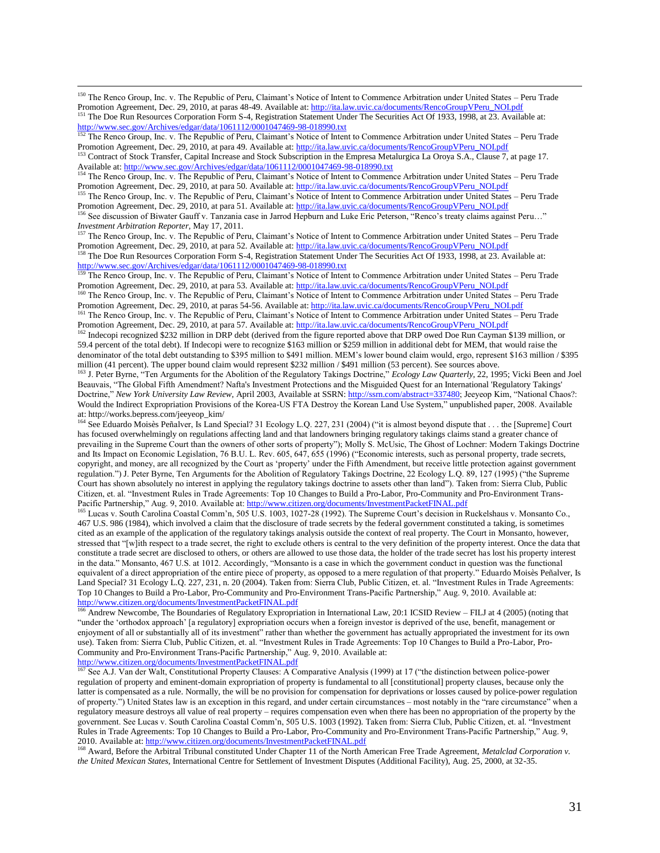<sup>150</sup> The Renco Group, Inc. v. The Republic of Peru, Claimant's Notice of Intent to Commence Arbitration under United States – Peru Trade Promotion Agreement, Dec. 29, 2010, at paras 48-49. Available at[: http://ita.law.uvic.ca/documents/RencoGroupVPeru\\_NOI.pdf](http://ita.law.uvic.ca/documents/RencoGroupVPeru_NOI.pdf)

<sup>151</sup> The Doe Run Resources Corporation Form S-4, Registration Statement Under The Securities Act Of 1933, 1998, at 23. Available at: <http://www.sec.gov/Archives/edgar/data/1061112/0001047469-98-018990.txt>

<sup>152</sup> The Renco Group, Inc. v. The Republic of Peru, Claimant's Notice of Intent to Commence Arbitration under United States – Peru Trade Promotion Agreement, Dec. 29, 2010, at para 49. Available at: [http://ita.law.uvic.ca/documents/RencoGroupVPeru\\_NOI.pdf](http://ita.law.uvic.ca/documents/RencoGroupVPeru_NOI.pdf)

<sup>153</sup> Contract of Stock Transfer, Capital Increase and Stock Subscription in the Empresa Metalurgica La Oroya S.A., Clause 7, at page 17. Available at[: http://www.sec.gov/Archives/edgar/data/1061112/0001047469-98-018990.txt](http://www.sec.gov/Archives/edgar/data/1061112/0001047469-98-018990.txt)

<sup>154</sup> The Renco Group, Inc. v. The Republic of Peru, Claimant's Notice of Intent to Commence Arbitration under United States – Peru Trade Promotion Agreement, Dec. 29, 2010, at para 50. Available at: [http://ita.law.uvic.ca/documents/RencoGroupVPeru\\_NOI.pdf](http://ita.law.uvic.ca/documents/RencoGroupVPeru_NOI.pdf)

155 The Renco Group, Inc. v. The Republic of Peru, Claimant's Notice of Intent to Commence Arbitration under United States – Peru Trade Promotion Agreement, Dec. 29, 2010, at para 51. Available at: http://ita.law.uvic.ca/documents/RencoGroupVPeru\_NOLpdf

<sup>156</sup> See discussion of Biwater Gauff v. Tanzania case in Jarrod Hepburn and Luke Eric Peterson, "Renco's treaty claims against Peru…" *Investment Arbitration Reporter, May 17, 2011.*<br><sup>157</sup> The Repos Group, Inc. y. The Berrichia - CD.

<sup>157</sup> The Renco Group, Inc. v. The Republic of Peru, Claimant's Notice of Intent to Commence Arbitration under United States – Peru Trade Promotion Agreement, Dec. 29, 2010, at para 52. Available at: [http://ita.law.uvic.ca/documents/RencoGroupVPeru\\_NOI.pdf](http://ita.law.uvic.ca/documents/RencoGroupVPeru_NOI.pdf)

<sup>158</sup> The Doe Run Resources Corporation Form S-4, Registration Statement Under The Securities Act Of 1933, 1998, at 23. Available at: <http://www.sec.gov/Archives/edgar/data/1061112/0001047469-98-018990.txt><br><sup>159</sup> The Benco Group Inc. y. The Benublic of Dr. 01-ium of N.10001047469-98-018990.txt

The Renco Group, Inc. v. The Republic of Peru, Claimant's Notice of Intent to Commence Arbitration under United States – Peru Trade Promotion Agreement, Dec. 29, 2010, at para 53. Available at: [http://ita.law.uvic.ca/documents/RencoGroupVPeru\\_NOI.pdf](http://ita.law.uvic.ca/documents/RencoGroupVPeru_NOI.pdf)

<sup>160</sup> The Renco Group, Inc. v. The Republic of Peru, Claimant's Notice of Intent to Commence Arbitration under United States – Peru Trade Promotion Agreement, Dec. 29, 2010, at paras 54-56. Available at[: http://ita.law.uvic.ca/documents/RencoGroupVPeru\\_NOI.pdf](http://ita.law.uvic.ca/documents/RencoGroupVPeru_NOI.pdf)<br><sup>161</sup>The Benco Group Inc. y. The Bencilie of Beni Claiment's Netice of Interact Caugusta 4.1 Stephe

<sup>161</sup> The Renco Group, Inc. v. The Republic of Peru, Claimant's Notice of Intent to Commence Arbitration under United States – Peru Trade Promotion Agreement, Dec. 29, 2010, at para 57. Available at: [http://ita.law.uvic.ca/documents/RencoGroupVPeru\\_NOI.pdf](http://ita.law.uvic.ca/documents/RencoGroupVPeru_NOI.pdf)

<sup>162</sup> Indecopi recognized \$232 million in DRP debt (derived from the figure reported above that DRP owed Doe Run Cayman \$139 million, or 59.4 percent of the total debt). If Indecopi were to recognize \$163 million or \$259 million in additional debt for MEM, that would raise the denominator of the total debt outstanding to \$395 million to \$491 million. MEM's lower bound claim would, ergo, represent \$163 million / \$395 million (41 percent). The upper bound claim would represent \$232 million / \$491 million (53 percent). See sources above.

<sup>163</sup> J. Peter Byrne, "Ten Arguments for the Abolition of the Regulatory Takings Doctrine," *Ecology Law Quarterly*, 22, 1995; Vicki Been and Joel Beauvais, "The Global Fifth Amendment? Nafta's Investment Protections and the Misguided Quest for an International 'Regulatory Takings' Doctrine," *New York University Law Review,* April 2003, Available at SSRN[: http://ssrn.com/abstract=337480;](http://ssrn.com/abstract=337480) Jeeyeop Kim, "National Chaos?: Would the Indirect Expropriation Provisions of the Korea-US FTA Destroy the Korean Land Use System," unpublished paper, 2008. Available at: http://works.bepress.com/jeeyeop\_kim/

<sup>164</sup> See Eduardo Moisès Peñalver, Is Land Special? 31 Ecology L.Q. 227, 231 (2004) ("it is almost beyond dispute that . . . the [Supreme] Court has focused overwhelmingly on regulations affecting land and that landowners bringing regulatory takings claims stand a greater chance of prevailing in the Supreme Court than the owners of other sorts of property"); Molly S. McUsic, The Ghost of Lochner: Modern Takings Doctrine and Its Impact on Economic Legislation, 76 B.U. L. Rev. 605, 647, 655 (1996) ("Economic interests, such as personal property, trade secrets, copyright, and money, are all recognized by the Court as 'property' under the Fifth Amendment, but receive little protection against government regulation.") J. Peter Byrne, Ten Arguments for the Abolition of Regulatory Takings Doctrine, 22 Ecology L.Q. 89, 127 (1995) ("the Supreme Court has shown absolutely no interest in applying the regulatory takings doctrine to assets other than land"). Taken from: Sierra Club, Public Citizen, et. al. "Investment Rules in Trade Agreements: Top 10 Changes to Build a Pro-Labor, Pro-Community and Pro-Environment Trans-Pacific Partnership," Aug. 9, 2010. Available at[: http://www.citizen.org/documents/InvestmentPacketFINAL.pdf](http://www.citizen.org/documents/InvestmentPacketFINAL.pdf)

<sup>165</sup> Lucas v. South Carolina Coastal Comm'n, 505 U.S. 1003, 1027-28 (1992). The Supreme Court's decision in Ruckelshaus v. Monsanto Co., 467 U.S. 986 (1984), which involved a claim that the disclosure of trade secrets by the federal government constituted a taking, is sometimes cited as an example of the application of the regulatory takings analysis outside the context of real property. The Court in Monsanto, however, stressed that "[w]ith respect to a trade secret, the right to exclude others is central to the very definition of the property interest. Once the data that constitute a trade secret are disclosed to others, or others are allowed to use those data, the holder of the trade secret has lost his property interest in the data." Monsanto, 467 U.S. at 1012. Accordingly, "Monsanto is a case in which the government conduct in question was the functional equivalent of a direct appropriation of the entire piece of property, as opposed to a mere regulation of that property." Eduardo Moisès Peñalver, Is Land Special? 31 Ecology L.Q. 227, 231, n. 20 (2004). Taken from: Sierra Club, Public Citizen, et. al. "Investment Rules in Trade Agreements: Top 10 Changes to Build a Pro-Labor, Pro-Community and Pro-Environment Trans-Pacific Partnership," Aug. 9, 2010. Available at: <http://www.citizen.org/documents/InvestmentPacketFINAL.pdf>

<sup>166</sup> Andrew Newcombe, The Boundaries of Regulatory Expropriation in International Law, 20:1 ICSID Review – FILJ at 4 (2005) (noting that "under the 'orthodox approach' [a regulatory] expropriation occurs when a foreign investor is deprived of the use, benefit, management or enjoyment of all or substantially all of its investment" rather than whether the government has actually appropriated the investment for its own use). Taken from: Sierra Club, Public Citizen, et. al. "Investment Rules in Trade Agreements: Top 10 Changes to Build a Pro-Labor, Pro-Community and Pro-Environment Trans-Pacific Partnership," Aug. 9, 2010. Available at:

<http://www.citizen.org/documents/InvestmentPacketFINAL.pdf>

 $\overline{a}$ 

<sup>167</sup> See A.J. Van der Walt, Constitutional Property Clauses: A Comparative Analysis (1999) at 17 ("the distinction between police-power regulation of property and eminent-domain expropriation of property is fundamental to all [constitutional] property clauses, because only the latter is compensated as a rule. Normally, the will be no provision for compensation for deprivations or losses caused by police-power regulation of property.") United States law is an exception in this regard, and under certain circumstances – most notably in the "rare circumstance" when a regulatory measure destroys all value of real property – requires compensation even when there has been no appropriation of the property by the government. See Lucas v. South Carolina Coastal Comm'n, 505 U.S. 1003 (1992). Taken from: Sierra Club, Public Citizen, et. al. "Investment Rules in Trade Agreements: Top 10 Changes to Build a Pro-Labor, Pro-Community and Pro-Environment Trans-Pacific Partnership," Aug. 9, 2010. Available at[: http://www.citizen.org/documents/InvestmentPacketFINAL.pdf](http://www.citizen.org/documents/InvestmentPacketFINAL.pdf)

<sup>168</sup> Award, Before the Arbitral Tribunal constituted Under Chapter 11 of the North American Free Trade Agreement, *Metalclad Corporation v. the United Mexican States*, International Centre for Settlement of Investment Disputes (Additional Facility), Aug. 25, 2000, at 32-35.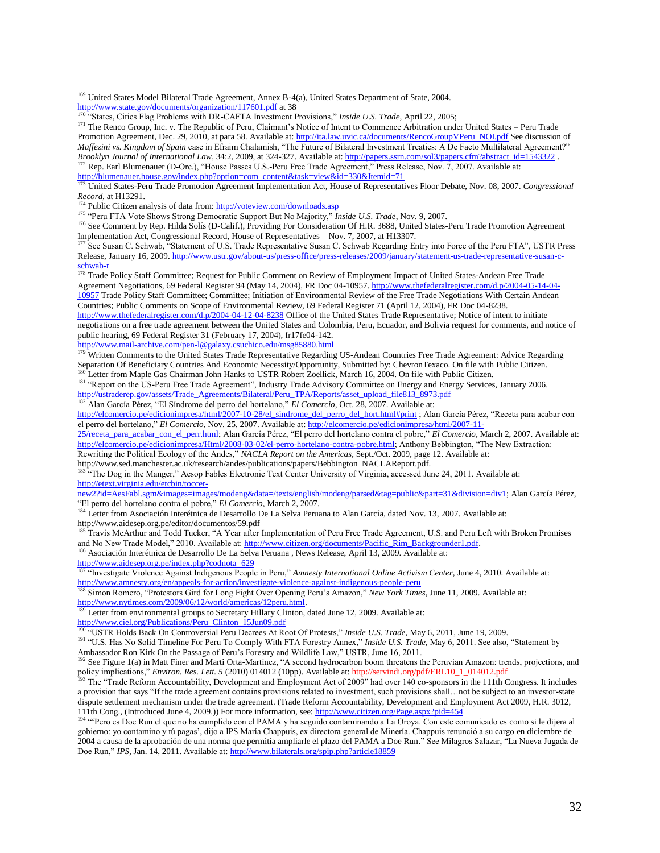<sup>169</sup> United States Model Bilateral Trade Agreement, Annex B-4(a), United States Department of State, 2004. <http://www.state.gov/documents/organization/117601.pdf> at 38

<sup>170</sup> "States, Cities Flag Problems with DR-CAFTA Investment Provisions," *Inside U.S. Trade,* April 22, 2005;

<sup>171</sup> The Renco Group, Inc. v. The Republic of Peru, Claimant's Notice of Intent to Commence Arbitration under United States – Peru Trade Promotion Agreement, Dec. 29, 2010, at para 58. Available at: [http://ita.law.uvic.ca/documents/RencoGroupVPeru\\_NOI.pdf](http://ita.law.uvic.ca/documents/RencoGroupVPeru_NOI.pdf) See discussion of *Maffezini vs. Kingdom of Spain* case in Efraim Chalamish, "The Future of Bilateral Investment Treaties: A De Facto Multilateral Agreement?" *Brooklyn Journal of International Law*, 34:2, 2009, at 324-327. Available at[: http://papers.ssrn.com/sol3/papers.cfm?abstract\\_id=1543322](http://papers.ssrn.com/sol3/papers.cfm?abstract_id=1543322) . Rep. Earl Blumenauer (D-Ore.), "House Passes U.S.-Peru Free Trade Agreement," Press Release, Nov. 7, 2007. Available at: [http://blumenauer.house.gov/index.php?option=com\\_content&task=view&id=330&Itemid=71](http://blumenauer.house.gov/index.php?option=com_content&task=view&id=330&Itemid=71)

<sup>173</sup> United States-Peru Trade Promotion Agreement Implementation Act, House of Representatives Floor Debate, Nov. 08, 2007. *Congressional Record,* at H13291.

<sup>4</sup> Public Citizen analysis of data from[: http://voteview.com/downloads.asp](http://voteview.com/downloads.asp)

 $\overline{a}$ 

<sup>175</sup> "Peru FTA Vote Shows Strong Democratic Support But No Majority," *Inside U.S. Trade*, Nov. 9, 2007.

<sup>176</sup> See Comment by Rep. Hilda Solís (D-Calif.), Providing For Consideration Of H.R. 3688, United States-Peru Trade Promotion Agreement Implementation Act, Congressional Record, House of Representatives – Nov. 7, 2007, at H13307.

See Susan C. Schwab, "Statement of U.S. Trade Representative Susan C. Schwab Regarding Entry into Force of the Peru FTA", USTR Press Release, January 16, 2009. [http://www.ustr.gov/about-us/press-office/press-releases/2009/january/statement-us-trade-representative-susan-c](http://www.ustr.gov/about-us/press-office/press-releases/2009/january/statement-us-trade-representative-susan-c-schwab-r)[schwab-r](http://www.ustr.gov/about-us/press-office/press-releases/2009/january/statement-us-trade-representative-susan-c-schwab-r)

<sup>178</sup> Trade Policy Staff Committee; Request for Public Comment on Review of Employment Impact of United States-Andean Free Trade Agreement Negotiations, 69 Federal Register 94 (May 14, 2004), FR Doc 04-10957. [http://www.thefederalregister.com/d.p/2004-05-14-04-](http://www.thefederalregister.com/d.p/2004-05-14-04-10957) [10957](http://www.thefederalregister.com/d.p/2004-05-14-04-10957) Trade Policy Staff Committee; Committee; Initiation of Environmental Review of the Free Trade Negotiations With Certain Andean Countries; Public Comments on Scope of Environmental Review, 69 Federal Register 71 (April 12, 2004), FR Doc 04-8238.

<http://www.thefederalregister.com/d.p/2004-04-12-04-8238> Office of the United States Trade Representative; Notice of intent to initiate negotiations on a free trade agreement between the United States and Colombia, Peru, Ecuador, and Bolivia request for comments, and notice of public hearing, 69 Federal Register 31 (February 17, 2004), fr17fe04-142.

<http://www.mail-archive.com/pen-l@galaxy.csuchico.edu/msg85880.html>

<sup>179</sup> Written Comments to the United States Trade Representative Regarding US-Andean Countries Free Trade Agreement: Advice Regarding Separation Of Beneficiary Countries And Economic Necessity/Opportunity, Submitted by: ChevronTexaco. On file with Public Citizen. <sup>0</sup> Letter from Maple Gas Chairman John Hanks to USTR Robert Zoellick, March 16, 2004. On file with Public Citizen.

<sup>181</sup> "Report on the US-Peru Free Trade Agreement", Industry Trade Advisory Committee on Energy and Energy Services, January 2006. [http://ustraderep.gov/assets/Trade\\_Agreements/Bilateral/Peru\\_TPA/Reports/asset\\_upload\\_file813\\_8973.pdf](http://ustraderep.gov/assets/Trade_Agreements/Bilateral/Peru_TPA/Reports/asset_upload_file813_8973.pdf)

<sup>182</sup> Alan García Pérez, "El Síndrome del perro del hortelano," *El Comercio*, Oct. 28, 2007. Available at:

[http://elcomercio.pe/edicionimpresa/html/2007-10-28/el\\_sindrome\\_del\\_perro\\_del\\_hort.html#print](http://elcomercio.pe/edicionimpresa/html/2007-10-28/el_sindrome_del_perro_del_hort.html#print) ; Alan García Pérez, "Receta para acabar con el perro del hortelano," *El Comercio*, Nov. 25, 2007. Available at[: http://elcomercio.pe/edicionimpresa/html/2007-11-](http://elcomercio.pe/edicionimpresa/html/2007-11-25/receta_para_acabar_con_el_perr.html)

[25/receta\\_para\\_acabar\\_con\\_el\\_perr.html;](http://elcomercio.pe/edicionimpresa/html/2007-11-25/receta_para_acabar_con_el_perr.html) Alan García Pérez, "El perro del hortelano contra el pobre," *El Comercio*, March 2, 2007. Available at: [http://elcomercio.pe/edicionimpresa/Html/2008-03-02/el-perro-hortelano-contra-pobre.html;](http://elcomercio.pe/edicionimpresa/Html/2008-03-02/el-perro-hortelano-contra-pobre.html) Anthony Bebbington, "The New Extraction:

Rewriting the Political Ecology of the Andes," *NACLA Report on the Americas*, Sept./Oct. 2009, page 12. Available at:

http://www.sed.manchester.ac.uk/research/andes/publications/papers/Bebbington\_NACLAReport.pdf.

"The Dog in the Manger," Aesop Fables Electronic Text Center University of Virginia, accessed June 24, 2011. Available at: [http://etext.virginia.edu/etcbin/toccer-](http://etext.virginia.edu/etcbin/toccer-new2?id=AesFabl.sgm&images=images/modeng&data=/texts/english/modeng/parsed&tag=public&part=31&division=div1)

[new2?id=AesFabl.sgm&images=images/modeng&data=/texts/english/modeng/parsed&tag=public&part=31&division=div1;](http://etext.virginia.edu/etcbin/toccer-new2?id=AesFabl.sgm&images=images/modeng&data=/texts/english/modeng/parsed&tag=public&part=31&division=div1) Alan García Pérez, "El perro del hortelano contra el pobre," *El Comercio*, March 2, 2007.

<sup>184</sup> Letter from Asociación Interétnica de Desarrollo De La Selva Peruana to Alan García, dated Nov. 13, 2007. Available at: http://www.aidesep.org.pe/editor/documentos/59.pdf

<sup>185</sup> Travis McArthur and Todd Tucker, "A Year after Implementation of Peru Free Trade Agreement, U.S. and Peru Left with Broken Promises and No New Trade Model," 2010. Available at: [http://www.citizen.org/documents/Pacific\\_Rim\\_Backgrounder1.pdf.](http://www.citizen.org/documents/Pacific_Rim_Backgrounder1.pdf)

<sup>186</sup> Asociación Interétnica de Desarrollo De La Selva Peruana, News Release, April 13, 2009. Available at:

<http://www.aidesep.org.pe/index.php?codnota=629>

<sup>187</sup> "Investigate Violence Against Indigenous People in Peru," *Amnesty International Online Activism Center*, June 4, 2010. Available at: <http://www.amnesty.org/en/appeals-for-action/investigate-violence-against-indigenous-people-peru>

<sup>188</sup> Simon Romero, "Protestors Gird for Long Fight Over Opening Peru's Amazon," *New York Times,* June 11, 2009. Available at: [http://www.nytimes.com/2009/06/12/world/americas/12peru.html.](http://www.nytimes.com/2009/06/12/world/americas/12peru.html)

<sup>189</sup> Letter from environmental groups to Secretary Hillary Clinton, dated June 12, 2009. Available at:

[http://www.ciel.org/Publications/Peru\\_Clinton\\_15Jun09.pdf](http://www.ciel.org/Publications/Peru_Clinton_15Jun09.pdf)

<sup>190</sup> "USTR Holds Back On Controversial Peru Decrees At Root Of Protests," *Inside U.S. Trade,* May 6, 2011, June 19, 2009.

<sup>191</sup> "U.S. Has No Solid Timeline For Peru To Comply With FTA Forestry Annex," *Inside U.S. Trade,* May 6, 2011. See also, "Statement by Ambassador Ron Kirk On the Passage of Peru's Forestry and Wildlife Law," USTR, June 16, 2011.

<sup>192</sup> See Figure 1(a) in Matt Finer and Marti Orta-Martinez, "A second hydrocarbon boom threatens the Peruvian Amazon: trends, projections, and policy implications," *Environ. Res. Lett. 5* (2010) 014012 (10pp). Available at: http://servindi.org/pdf/ERL10\_1\_014012.pdf

<sup>193</sup> The "Trade Reform Accountability, Development and Employment Act of 2009" had over 140 co-sponsors in the 111th Congress. It includes a provision that says "If the trade agreement contains provisions related to investment, such provisions shall…not be subject to an investor-state dispute settlement mechanism under the trade agreement. (Trade Reform Accountability, Development and Employment Act 2009, H.R. 3012, 111th Cong., (Introduced June 4, 2009.)) For more information, see[: http://www.citizen.org/Page.aspx?pid=454](http://www.citizen.org/Page.aspx?pid=454)

<sup>194</sup> "'Pero es Doe Run el que no ha cumplido con el PAMA y ha seguido contaminando a La Oroya. Con este comunicado es como si le dijera al gobierno: yo contamino y tú pagas', dijo a IPS María Chappuis, ex directora general de Minería. Chappuis renunció a su cargo en diciembre de 2004 a causa de la aprobación de una norma que permitía ampliarle el plazo del PAMA a Doe Run." See Milagros Salazar, "La Nueva Jugada de Doe Run," *IPS*, Jan. 14, 2011. Available at[: http://www.bilaterals.org/spip.php?article18859](http://www.bilaterals.org/spip.php?article18859)